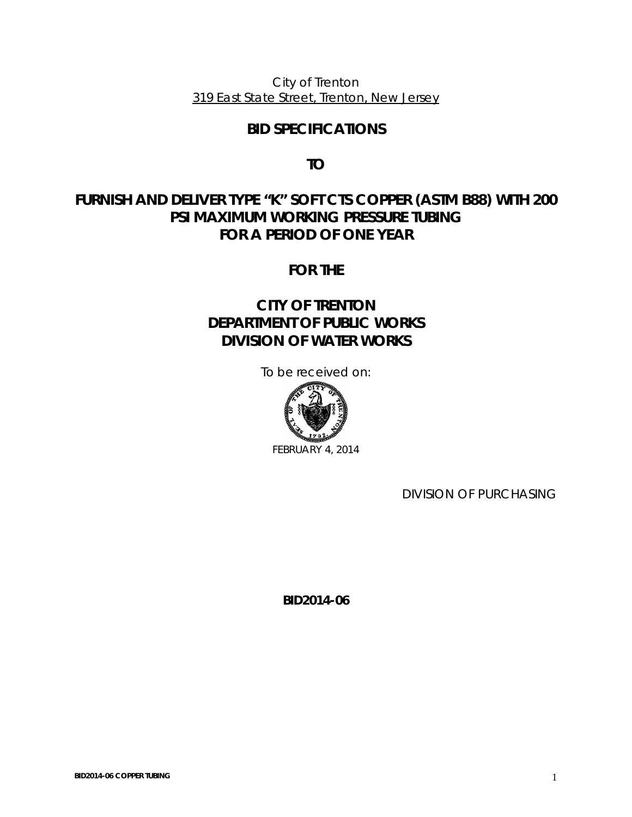City of Trenton 319 East State Street, Trenton, New Jersey

# **BID SPECIFICATIONS**

**TO** 

# **FURNISH AND DELIVER TYPE "K" SOFT CTS COPPER (ASTM B88) WITH 200 PSI MAXIMUM WORKING PRESSURE TUBING FOR A PERIOD OF ONE YEAR**

**FOR THE** 

# **CITY OF TRENTON DEPARTMENT OF PUBLIC WORKS DIVISION OF WATER WORKS**

To be received on:



FEBRUARY 4, 2014

DIVISION OF PURCHASING

**BID2014-06**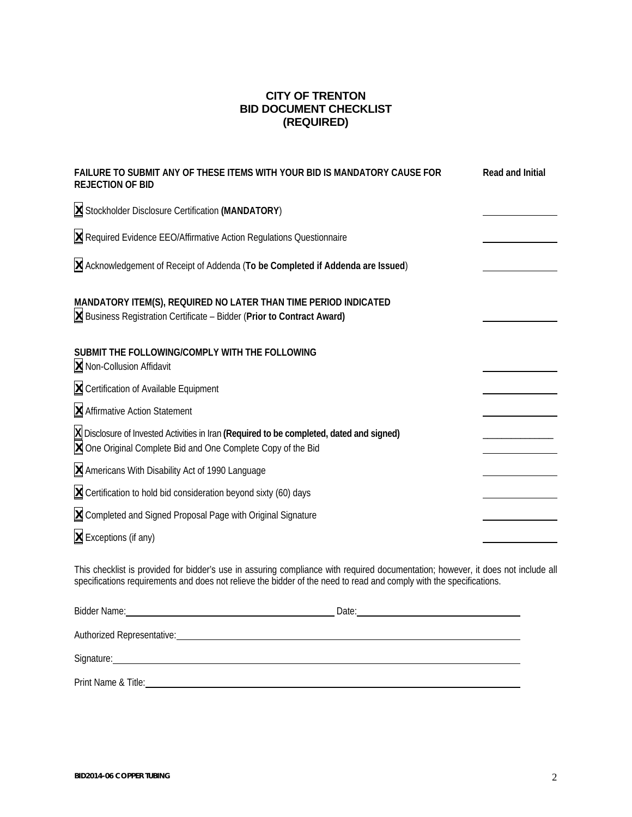## **CITY OF TRENTON BID DOCUMENT CHECKLIST (REQUIRED)**

| FAILURE TO SUBMIT ANY OF THESE ITEMS WITH YOUR BID IS MANDATORY CAUSE FOR<br><b>REJECTION OF BID</b>                                                                                                                                                    | Read and Initial |
|---------------------------------------------------------------------------------------------------------------------------------------------------------------------------------------------------------------------------------------------------------|------------------|
| X Stockholder Disclosure Certification (MANDATORY)                                                                                                                                                                                                      |                  |
| X Required Evidence EEO/Affirmative Action Regulations Questionnaire                                                                                                                                                                                    |                  |
| X Acknowledgement of Receipt of Addenda (To be Completed if Addenda are Issued)                                                                                                                                                                         |                  |
| MANDATORY ITEM(S), REQUIRED NO LATER THAN TIME PERIOD INDICATED<br><b>X</b> Business Registration Certificate - Bidder (Prior to Contract Award)                                                                                                        |                  |
| SUBMIT THE FOLLOWING/COMPLY WITH THE FOLLOWING<br>X Non-Collusion Affidavit                                                                                                                                                                             |                  |
| X Certification of Available Equipment                                                                                                                                                                                                                  |                  |
| X Affirmative Action Statement                                                                                                                                                                                                                          |                  |
| X Disclosure of Invested Activities in Iran (Required to be completed, dated and signed)<br>X One Original Complete Bid and One Complete Copy of the Bid                                                                                                |                  |
| X Americans With Disability Act of 1990 Language                                                                                                                                                                                                        |                  |
| $X$ Certification to hold bid consideration beyond sixty (60) days                                                                                                                                                                                      |                  |
| X Completed and Signed Proposal Page with Original Signature                                                                                                                                                                                            |                  |
| X Exceptions (if any)                                                                                                                                                                                                                                   |                  |
| This checklist is provided for bidder's use in assuring compliance with required documentation; however, it does not include all<br>specifications requirements and does not relieve the bidder of the need to read and comply with the specifications. |                  |

| Bidder Name:                     | Date: |  |  |  |
|----------------------------------|-------|--|--|--|
| Authorized Representative:       |       |  |  |  |
| Signature: <u>Communications</u> |       |  |  |  |
| Print Name & Title:              |       |  |  |  |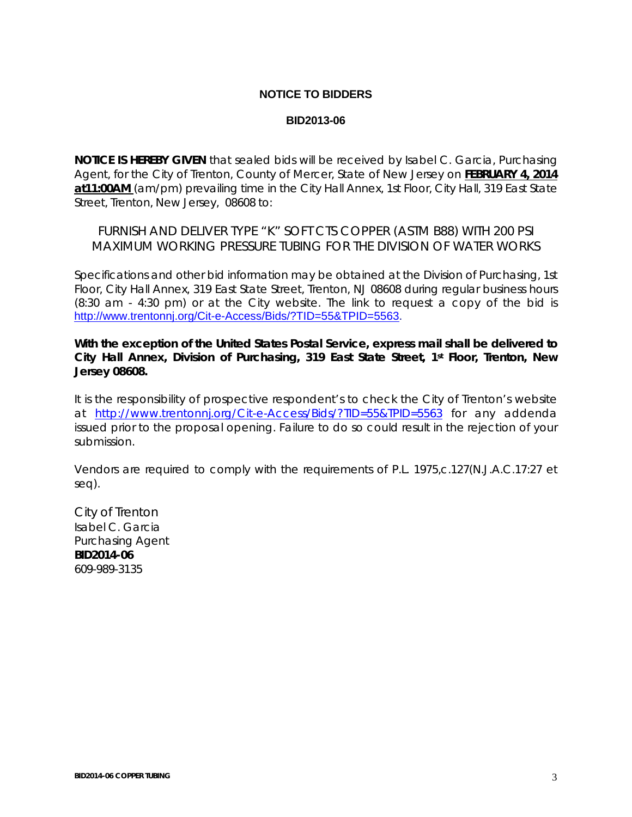### **NOTICE TO BIDDERS**

#### **BID2013-06**

**NOTICE IS HEREBY GIVEN** that sealed bids will be received by Isabel C. Garcia, Purchasing Agent, for the City of Trenton, County of Mercer, State of New Jersey on **FEBRUARY 4, 2014 at11:00AM** (am/pm) prevailing time in the City Hall Annex, 1st Floor, City Hall, 319 East State Street, Trenton, New Jersey, 08608 to:

FURNISH AND DELIVER TYPE "K" SOFT CTS COPPER (ASTM B88) WITH 200 PSI MAXIMUM WORKING PRESSURE TUBING FOR THE DIVISION OF WATER WORKS

Specifications and other bid information may be obtained at the Division of Purchasing, 1st Floor, City Hall Annex, 319 East State Street, Trenton, NJ 08608 during regular business hours (8:30 am - 4:30 pm) or at the City website. The link to request a copy of the bid is [http://www.trentonnj.org/Cit-e-Access/Bids/?TID=55&TPID=5563.](http://www.trentonnj.org/Cit-e-Access/Bids/?TID=55&TPID=5563)

**With the exception of the United States Postal Service, express mail shall be delivered to City Hall Annex, Division of Purchasing, 319 East State Street, 1st Floor, Trenton, New Jersey 08608.** 

It is the responsibility of prospective respondent's to check the City of Trenton's website at <http://www.trentonnj.org/Cit-e-Access/Bids/?TID=55&TPID=5563>for any addenda issued prior to the proposal opening. Failure to do so could result in the rejection of your submission.

Vendors are required to comply with the requirements of P.L. 1975,c.127(N.J.A.C.17:27 et seq).

City of Trenton Isabel C. Garcia Purchasing Agent **BID2014-06**  609-989-3135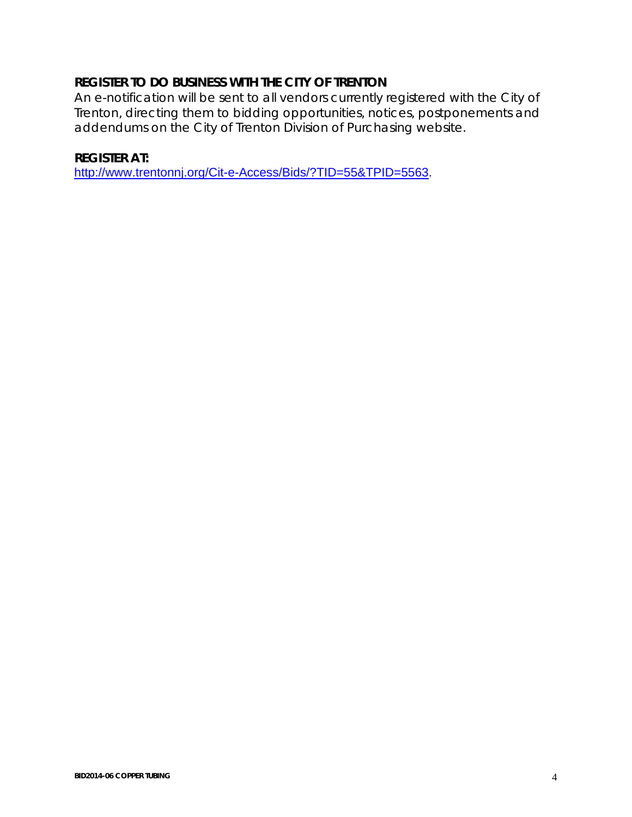# **REGISTER TO DO BUSINESS WITH THE CITY OF TRENTON**

An e-notification will be sent to all vendors currently registered with the City of Trenton, directing them to bidding opportunities, notices, postponements and addendums on the City of Trenton Division of Purchasing website.

# **REGISTER AT:**

<http://www.trentonnj.org/Cit-e-Access/Bids/?TID=55&TPID=5563>.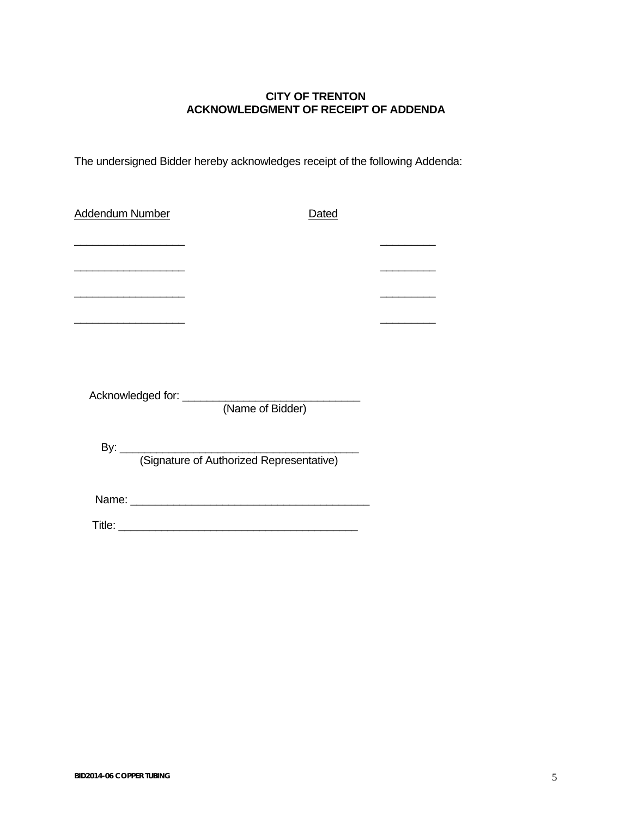## **CITY OF TRENTON ACKNOWLEDGMENT OF RECEIPT OF ADDENDA**

The undersigned Bidder hereby acknowledges receipt of the following Addenda:

| Addendum Number                                                                           | <u>Dated</u>                             |  |
|-------------------------------------------------------------------------------------------|------------------------------------------|--|
| the control of the control of the control of the control of the control of the control of |                                          |  |
| the control of the control of the control of the control of the control of                |                                          |  |
|                                                                                           |                                          |  |
| the control of the control of the control of the control of the control of                |                                          |  |
|                                                                                           |                                          |  |
|                                                                                           |                                          |  |
|                                                                                           |                                          |  |
|                                                                                           |                                          |  |
|                                                                                           | (Signature of Authorized Representative) |  |
|                                                                                           |                                          |  |
|                                                                                           |                                          |  |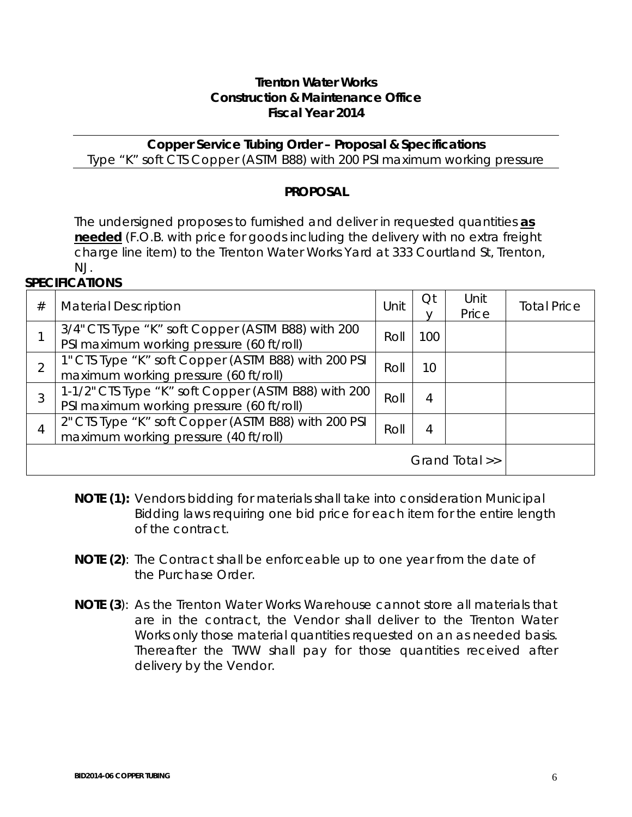# **Trenton Water Works Construction & Maintenance Office Fiscal Year 2014**

**Copper Service Tubing Order – Proposal & Specifications**  Type "K" soft CTS Copper (ASTM B88) with 200 PSI maximum working pressure

# **PROPOSAL**

The undersigned proposes to furnished and deliver in requested quantities *as needed* (F.O.B. with price for goods including the delivery with no extra freight charge line item) to the Trenton Water Works Yard at 333 Courtland St, Trenton, NJ.

# **SPECIFICATIONS**

| #              | <b>Material Description</b>                                                                      | Unit | Qt  | Unit<br>Price | <b>Total Price</b> |
|----------------|--------------------------------------------------------------------------------------------------|------|-----|---------------|--------------------|
|                | 3/4" CTS Type "K" soft Copper (ASTM B88) with 200<br>PSI maximum working pressure (60 ft/roll)   | Roll | 100 |               |                    |
| $\overline{2}$ | 1" CTS Type "K" soft Copper (ASTM B88) with 200 PSI<br>maximum working pressure (60 ft/roll)     | Roll | 10  |               |                    |
| 3              | 1-1/2" CTS Type "K" soft Copper (ASTM B88) with 200<br>PSI maximum working pressure (60 ft/roll) | Roll | 4   |               |                    |
| 4              | 2" CTS Type "K" soft Copper (ASTM B88) with 200 PSI<br>maximum working pressure (40 ft/roll)     | Roll | 4   |               |                    |
|                | Grand Total >>                                                                                   |      |     |               |                    |

- **NOTE (1):** Vendors bidding for materials shall take into consideration Municipal Bidding laws requiring one bid price for each item for the entire length of the contract.
- **NOTE (2)**: The Contract shall be enforceable up to one year from the date of the Purchase Order.
- **NOTE (3**): As the Trenton Water Works Warehouse cannot store all materials that are in the contract, the Vendor shall deliver to the Trenton Water Works only those material quantities requested on an as needed basis. Thereafter the TWW shall pay for those quantities received after delivery by the Vendor.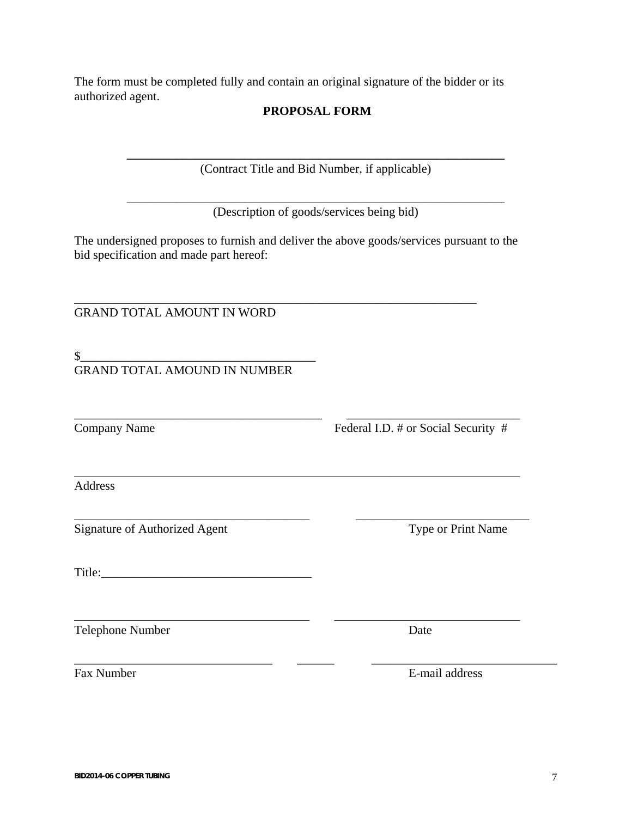The form must be completed fully and contain an original signature of the bidder or its authorized agent.

# **PROPOSAL FORM**

**\_\_\_\_\_\_\_\_\_\_\_\_\_\_\_\_\_\_\_\_\_\_\_\_\_\_\_\_\_\_\_\_\_\_\_\_\_\_\_\_\_\_\_\_\_\_\_\_\_\_\_\_\_\_\_\_\_\_\_\_\_**  (Contract Title and Bid Number, if applicable)

\_\_\_\_\_\_\_\_\_\_\_\_\_\_\_\_\_\_\_\_\_\_\_\_\_\_\_\_\_\_\_\_\_\_\_\_\_\_\_\_\_\_\_\_\_\_\_\_\_\_\_\_\_\_\_\_\_\_\_\_\_ (Description of goods/services being bid)

The undersigned proposes to furnish and deliver the above goods/services pursuant to the bid specification and made part hereof:

\_\_\_\_\_\_\_\_\_\_\_\_\_\_\_\_\_\_\_\_\_\_\_\_\_\_\_\_\_\_\_\_\_\_\_\_\_\_\_\_ \_\_\_\_\_\_\_\_\_\_\_\_\_\_\_\_\_\_\_\_\_\_\_\_\_\_\_\_

\_\_\_\_\_\_\_\_\_\_\_\_\_\_\_\_\_\_\_\_\_\_\_\_\_\_\_\_\_\_\_\_\_\_\_\_\_\_\_\_\_\_\_\_\_\_\_\_\_\_\_\_\_\_\_\_\_\_\_\_\_\_\_\_\_\_\_\_\_\_\_\_

\_\_\_\_\_\_\_\_\_\_\_\_\_\_\_\_\_\_\_\_\_\_\_\_\_\_\_\_\_\_\_\_\_\_\_\_\_\_ \_\_\_\_\_\_\_\_\_\_\_\_\_\_\_\_\_\_\_\_\_\_\_\_\_\_\_\_\_\_

\_\_\_\_\_\_\_\_\_\_\_\_\_\_\_\_\_\_\_\_\_\_\_\_\_\_\_\_\_\_\_\_ \_\_\_\_\_\_ \_\_\_\_\_\_\_\_\_\_\_\_\_\_\_\_\_\_\_\_\_\_\_\_\_\_\_\_\_\_

\_\_\_\_\_\_\_\_\_\_\_\_\_\_\_\_\_\_\_\_\_\_\_\_\_\_\_\_\_\_\_\_\_\_\_\_\_\_\_\_\_\_\_\_\_\_\_\_\_\_\_\_\_\_\_\_\_\_\_\_\_\_\_\_\_

GRAND TOTAL AMOUNT IN WORD

 $\frac{1}{2}$ GRAND TOTAL AMOUND IN NUMBER

Company Name Federal I.D. # or Social Security #

Address

Signature of Authorized Agent Type or Print Name

Title:

Telephone Number Date

\_\_\_\_\_\_\_\_\_\_\_\_\_\_\_\_\_\_\_\_\_\_\_\_\_\_\_\_\_\_\_\_\_\_\_\_\_\_ \_\_\_\_\_\_\_\_\_\_\_\_\_\_\_\_\_\_\_\_\_\_\_\_\_\_\_\_

Fax Number **E-mail address**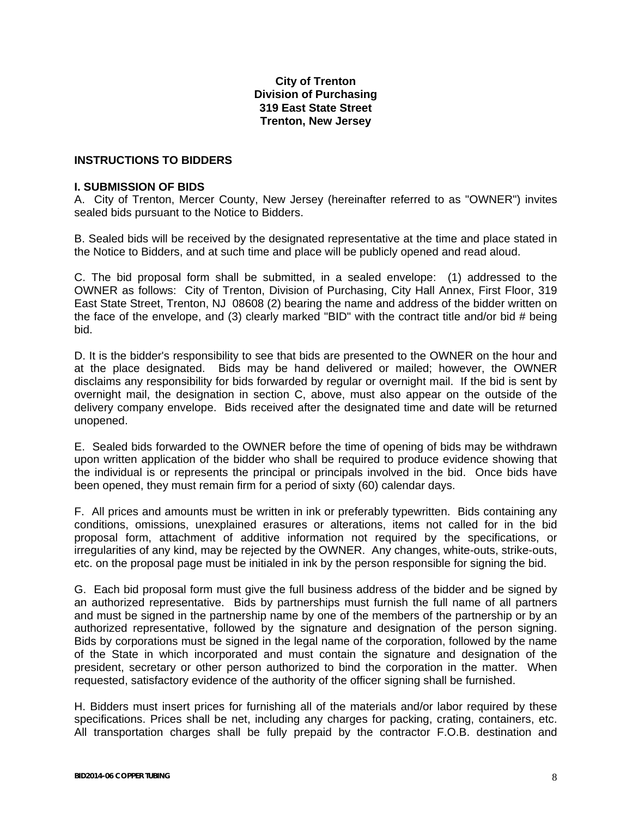## **City of Trenton Division of Purchasing 319 East State Street Trenton, New Jersey**

#### **INSTRUCTIONS TO BIDDERS**

#### **I. SUBMISSION OF BIDS**

A. City of Trenton, Mercer County, New Jersey (hereinafter referred to as "OWNER") invites sealed bids pursuant to the Notice to Bidders.

B. Sealed bids will be received by the designated representative at the time and place stated in the Notice to Bidders, and at such time and place will be publicly opened and read aloud.

C. The bid proposal form shall be submitted, in a sealed envelope: (1) addressed to the OWNER as follows: City of Trenton, Division of Purchasing, City Hall Annex, First Floor, 319 East State Street, Trenton, NJ 08608 (2) bearing the name and address of the bidder written on the face of the envelope, and (3) clearly marked "BID" with the contract title and/or bid # being bid.

D. It is the bidder's responsibility to see that bids are presented to the OWNER on the hour and at the place designated. Bids may be hand delivered or mailed; however, the OWNER disclaims any responsibility for bids forwarded by regular or overnight mail. If the bid is sent by overnight mail, the designation in section C, above, must also appear on the outside of the delivery company envelope. Bids received after the designated time and date will be returned unopened.

E. Sealed bids forwarded to the OWNER before the time of opening of bids may be withdrawn upon written application of the bidder who shall be required to produce evidence showing that the individual is or represents the principal or principals involved in the bid. Once bids have been opened, they must remain firm for a period of sixty (60) calendar days.

F. All prices and amounts must be written in ink or preferably typewritten. Bids containing any conditions, omissions, unexplained erasures or alterations, items not called for in the bid proposal form, attachment of additive information not required by the specifications, or irregularities of any kind, may be rejected by the OWNER. Any changes, white-outs, strike-outs, etc. on the proposal page must be initialed in ink by the person responsible for signing the bid.

G. Each bid proposal form must give the full business address of the bidder and be signed by an authorized representative. Bids by partnerships must furnish the full name of all partners and must be signed in the partnership name by one of the members of the partnership or by an authorized representative, followed by the signature and designation of the person signing. Bids by corporations must be signed in the legal name of the corporation, followed by the name of the State in which incorporated and must contain the signature and designation of the president, secretary or other person authorized to bind the corporation in the matter. When requested, satisfactory evidence of the authority of the officer signing shall be furnished.

H. Bidders must insert prices for furnishing all of the materials and/or labor required by these specifications. Prices shall be net, including any charges for packing, crating, containers, etc. All transportation charges shall be fully prepaid by the contractor F.O.B. destination and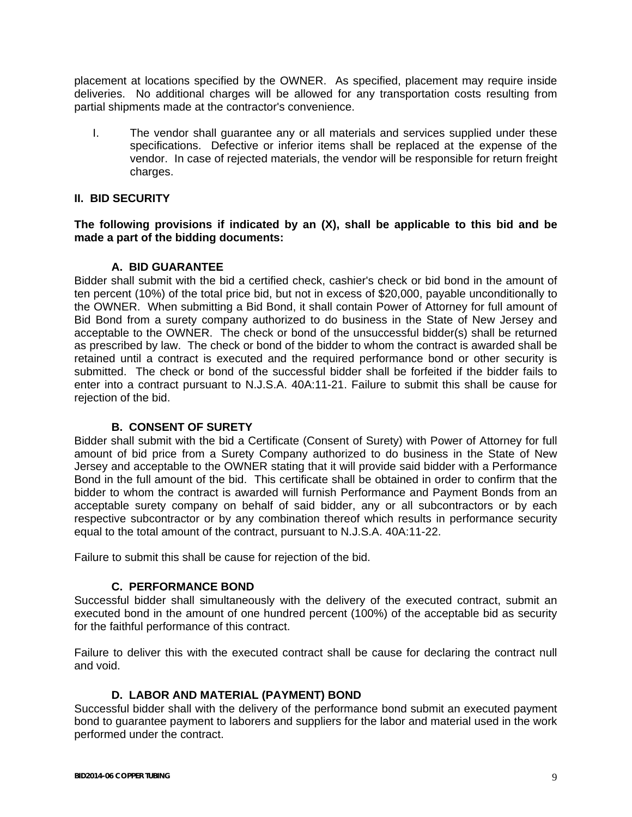placement at locations specified by the OWNER. As specified, placement may require inside deliveries. No additional charges will be allowed for any transportation costs resulting from partial shipments made at the contractor's convenience.

I. The vendor shall guarantee any or all materials and services supplied under these specifications. Defective or inferior items shall be replaced at the expense of the vendor. In case of rejected materials, the vendor will be responsible for return freight charges.

### **II. BID SECURITY**

#### **The following provisions if indicated by an (X), shall be applicable to this bid and be made a part of the bidding documents:**

#### **A. BID GUARANTEE**

Bidder shall submit with the bid a certified check, cashier's check or bid bond in the amount of ten percent (10%) of the total price bid, but not in excess of \$20,000, payable unconditionally to the OWNER. When submitting a Bid Bond, it shall contain Power of Attorney for full amount of Bid Bond from a surety company authorized to do business in the State of New Jersey and acceptable to the OWNER. The check or bond of the unsuccessful bidder(s) shall be returned as prescribed by law. The check or bond of the bidder to whom the contract is awarded shall be retained until a contract is executed and the required performance bond or other security is submitted. The check or bond of the successful bidder shall be forfeited if the bidder fails to enter into a contract pursuant to N.J.S.A. 40A:11-21. Failure to submit this shall be cause for rejection of the bid.

## **B. CONSENT OF SURETY**

Bidder shall submit with the bid a Certificate (Consent of Surety) with Power of Attorney for full amount of bid price from a Surety Company authorized to do business in the State of New Jersey and acceptable to the OWNER stating that it will provide said bidder with a Performance Bond in the full amount of the bid. This certificate shall be obtained in order to confirm that the bidder to whom the contract is awarded will furnish Performance and Payment Bonds from an acceptable surety company on behalf of said bidder, any or all subcontractors or by each respective subcontractor or by any combination thereof which results in performance security equal to the total amount of the contract, pursuant to N.J.S.A. 40A:11-22.

Failure to submit this shall be cause for rejection of the bid.

#### **C. PERFORMANCE BOND**

Successful bidder shall simultaneously with the delivery of the executed contract, submit an executed bond in the amount of one hundred percent (100%) of the acceptable bid as security for the faithful performance of this contract.

Failure to deliver this with the executed contract shall be cause for declaring the contract null and void.

## **D. LABOR AND MATERIAL (PAYMENT) BOND**

Successful bidder shall with the delivery of the performance bond submit an executed payment bond to guarantee payment to laborers and suppliers for the labor and material used in the work performed under the contract.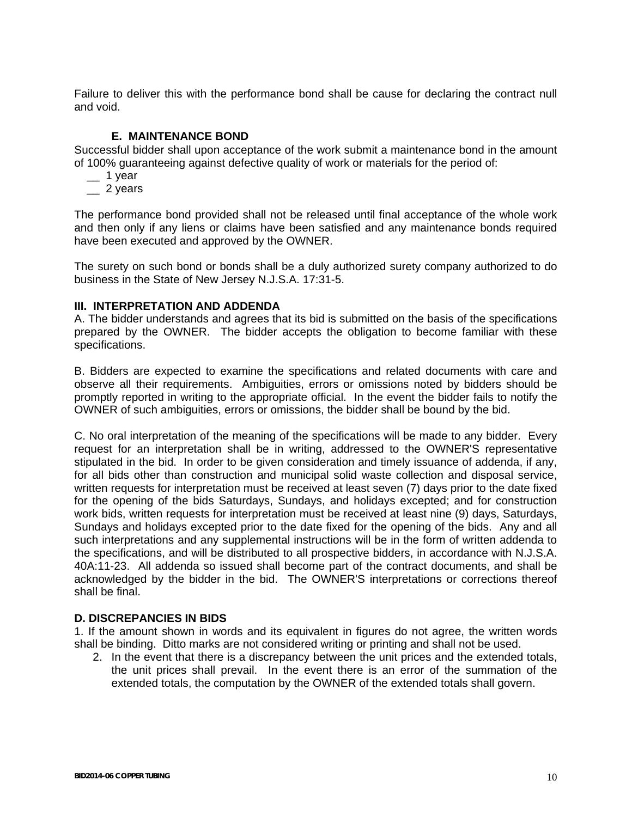Failure to deliver this with the performance bond shall be cause for declaring the contract null and void.

### **E. MAINTENANCE BOND**

Successful bidder shall upon acceptance of the work submit a maintenance bond in the amount of 100% guaranteeing against defective quality of work or materials for the period of:

- $-$  1 year
- $\frac{2}{1}$  2 years

The performance bond provided shall not be released until final acceptance of the whole work and then only if any liens or claims have been satisfied and any maintenance bonds required have been executed and approved by the OWNER.

The surety on such bond or bonds shall be a duly authorized surety company authorized to do business in the State of New Jersey N.J.S.A. 17:31-5.

#### **III. INTERPRETATION AND ADDENDA**

A. The bidder understands and agrees that its bid is submitted on the basis of the specifications prepared by the OWNER. The bidder accepts the obligation to become familiar with these specifications.

B. Bidders are expected to examine the specifications and related documents with care and observe all their requirements. Ambiguities, errors or omissions noted by bidders should be promptly reported in writing to the appropriate official. In the event the bidder fails to notify the OWNER of such ambiguities, errors or omissions, the bidder shall be bound by the bid.

C. No oral interpretation of the meaning of the specifications will be made to any bidder. Every request for an interpretation shall be in writing, addressed to the OWNER'S representative stipulated in the bid. In order to be given consideration and timely issuance of addenda, if any, for all bids other than construction and municipal solid waste collection and disposal service, written requests for interpretation must be received at least seven (7) days prior to the date fixed for the opening of the bids Saturdays, Sundays, and holidays excepted; and for construction work bids, written requests for interpretation must be received at least nine (9) days, Saturdays, Sundays and holidays excepted prior to the date fixed for the opening of the bids. Any and all such interpretations and any supplemental instructions will be in the form of written addenda to the specifications, and will be distributed to all prospective bidders, in accordance with N.J.S.A. 40A:11-23. All addenda so issued shall become part of the contract documents, and shall be acknowledged by the bidder in the bid. The OWNER'S interpretations or corrections thereof shall be final.

#### **D. DISCREPANCIES IN BIDS**

1. If the amount shown in words and its equivalent in figures do not agree, the written words shall be binding. Ditto marks are not considered writing or printing and shall not be used.

2. In the event that there is a discrepancy between the unit prices and the extended totals, the unit prices shall prevail. In the event there is an error of the summation of the extended totals, the computation by the OWNER of the extended totals shall govern.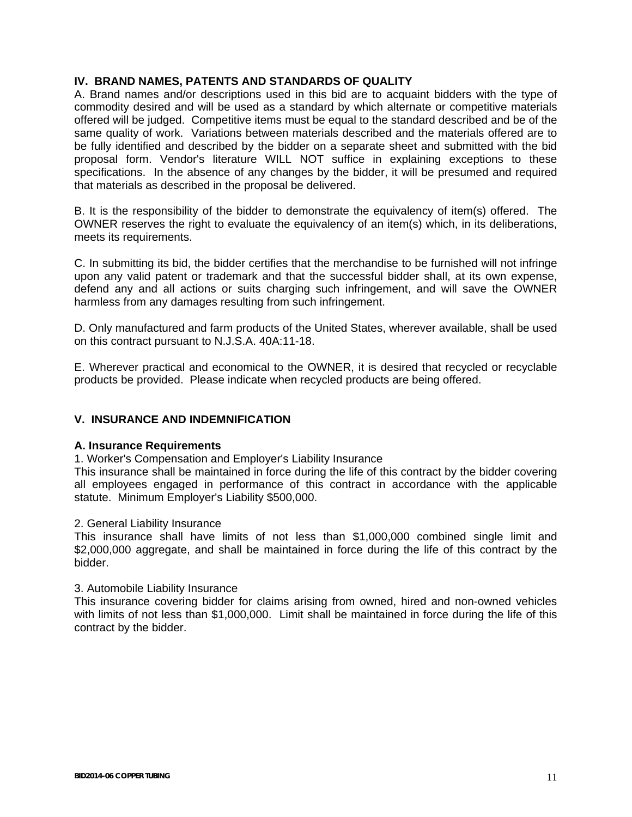### **IV. BRAND NAMES, PATENTS AND STANDARDS OF QUALITY**

A. Brand names and/or descriptions used in this bid are to acquaint bidders with the type of commodity desired and will be used as a standard by which alternate or competitive materials offered will be judged. Competitive items must be equal to the standard described and be of the same quality of work. Variations between materials described and the materials offered are to be fully identified and described by the bidder on a separate sheet and submitted with the bid proposal form. Vendor's literature WILL NOT suffice in explaining exceptions to these specifications. In the absence of any changes by the bidder, it will be presumed and required that materials as described in the proposal be delivered.

B. It is the responsibility of the bidder to demonstrate the equivalency of item(s) offered. The OWNER reserves the right to evaluate the equivalency of an item(s) which, in its deliberations, meets its requirements.

C. In submitting its bid, the bidder certifies that the merchandise to be furnished will not infringe upon any valid patent or trademark and that the successful bidder shall, at its own expense, defend any and all actions or suits charging such infringement, and will save the OWNER harmless from any damages resulting from such infringement.

D. Only manufactured and farm products of the United States, wherever available, shall be used on this contract pursuant to N.J.S.A. 40A:11-18.

E. Wherever practical and economical to the OWNER, it is desired that recycled or recyclable products be provided. Please indicate when recycled products are being offered.

#### **V. INSURANCE AND INDEMNIFICATION**

#### **A. Insurance Requirements**

1. Worker's Compensation and Employer's Liability Insurance

This insurance shall be maintained in force during the life of this contract by the bidder covering all employees engaged in performance of this contract in accordance with the applicable statute. Minimum Employer's Liability \$500,000.

#### 2. General Liability Insurance

This insurance shall have limits of not less than \$1,000,000 combined single limit and \$2,000,000 aggregate, and shall be maintained in force during the life of this contract by the bidder.

#### 3. Automobile Liability Insurance

This insurance covering bidder for claims arising from owned, hired and non-owned vehicles with limits of not less than \$1,000,000. Limit shall be maintained in force during the life of this contract by the bidder.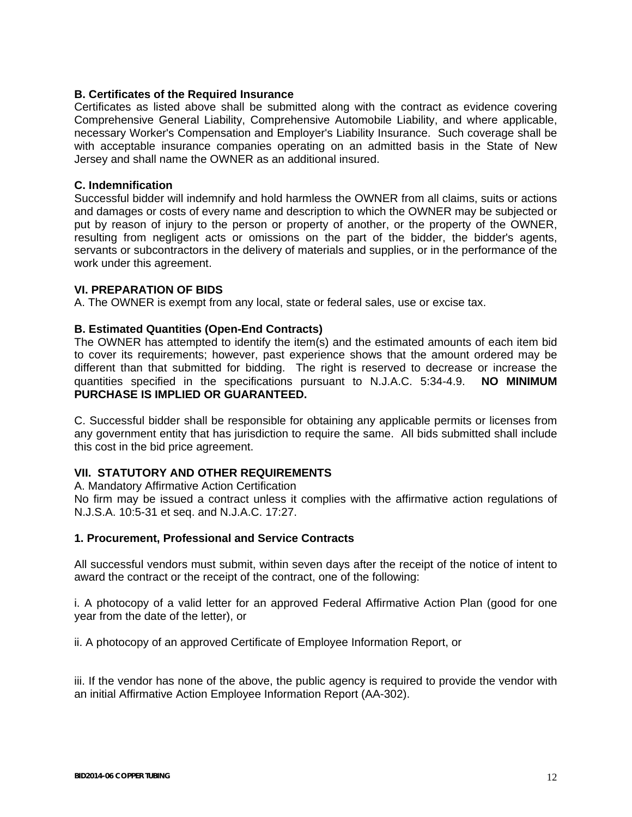#### **B. Certificates of the Required Insurance**

Certificates as listed above shall be submitted along with the contract as evidence covering Comprehensive General Liability, Comprehensive Automobile Liability, and where applicable, necessary Worker's Compensation and Employer's Liability Insurance. Such coverage shall be with acceptable insurance companies operating on an admitted basis in the State of New Jersey and shall name the OWNER as an additional insured.

#### **C. Indemnification**

Successful bidder will indemnify and hold harmless the OWNER from all claims, suits or actions and damages or costs of every name and description to which the OWNER may be subjected or put by reason of injury to the person or property of another, or the property of the OWNER, resulting from negligent acts or omissions on the part of the bidder, the bidder's agents, servants or subcontractors in the delivery of materials and supplies, or in the performance of the work under this agreement.

#### **VI. PREPARATION OF BIDS**

A. The OWNER is exempt from any local, state or federal sales, use or excise tax.

## **B. Estimated Quantities (Open-End Contracts)**

The OWNER has attempted to identify the item(s) and the estimated amounts of each item bid to cover its requirements; however, past experience shows that the amount ordered may be different than that submitted for bidding. The right is reserved to decrease or increase the quantities specified in the specifications pursuant to N.J.A.C. 5:34-4.9. **NO MINIMUM PURCHASE IS IMPLIED OR GUARANTEED.** 

C. Successful bidder shall be responsible for obtaining any applicable permits or licenses from any government entity that has jurisdiction to require the same. All bids submitted shall include this cost in the bid price agreement.

## **VII. STATUTORY AND OTHER REQUIREMENTS**

A. Mandatory Affirmative Action Certification

No firm may be issued a contract unless it complies with the affirmative action regulations of N.J.S.A. 10:5-31 et seq. and N.J.A.C. 17:27.

#### **1. Procurement, Professional and Service Contracts**

All successful vendors must submit, within seven days after the receipt of the notice of intent to award the contract or the receipt of the contract, one of the following:

i. A photocopy of a valid letter for an approved Federal Affirmative Action Plan (good for one year from the date of the letter), or

ii. A photocopy of an approved Certificate of Employee Information Report, or

iii. If the vendor has none of the above, the public agency is required to provide the vendor with an initial Affirmative Action Employee Information Report (AA-302).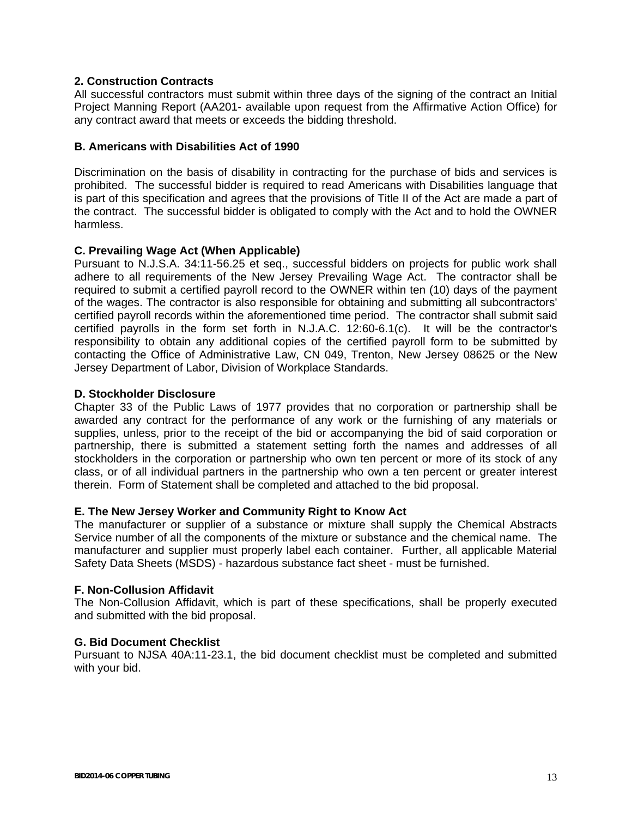### **2. Construction Contracts**

All successful contractors must submit within three days of the signing of the contract an Initial Project Manning Report (AA201- available upon request from the Affirmative Action Office) for any contract award that meets or exceeds the bidding threshold.

#### **B. Americans with Disabilities Act of 1990**

Discrimination on the basis of disability in contracting for the purchase of bids and services is prohibited. The successful bidder is required to read Americans with Disabilities language that is part of this specification and agrees that the provisions of Title II of the Act are made a part of the contract. The successful bidder is obligated to comply with the Act and to hold the OWNER harmless.

#### **C. Prevailing Wage Act (When Applicable)**

Pursuant to N.J.S.A. 34:11-56.25 et seq., successful bidders on projects for public work shall adhere to all requirements of the New Jersey Prevailing Wage Act. The contractor shall be required to submit a certified payroll record to the OWNER within ten (10) days of the payment of the wages. The contractor is also responsible for obtaining and submitting all subcontractors' certified payroll records within the aforementioned time period. The contractor shall submit said certified payrolls in the form set forth in N.J.A.C. 12:60-6.1(c). It will be the contractor's responsibility to obtain any additional copies of the certified payroll form to be submitted by contacting the Office of Administrative Law, CN 049, Trenton, New Jersey 08625 or the New Jersey Department of Labor, Division of Workplace Standards.

#### **D. Stockholder Disclosure**

Chapter 33 of the Public Laws of 1977 provides that no corporation or partnership shall be awarded any contract for the performance of any work or the furnishing of any materials or supplies, unless, prior to the receipt of the bid or accompanying the bid of said corporation or partnership, there is submitted a statement setting forth the names and addresses of all stockholders in the corporation or partnership who own ten percent or more of its stock of any class, or of all individual partners in the partnership who own a ten percent or greater interest therein. Form of Statement shall be completed and attached to the bid proposal.

#### **E. The New Jersey Worker and Community Right to Know Act**

The manufacturer or supplier of a substance or mixture shall supply the Chemical Abstracts Service number of all the components of the mixture or substance and the chemical name. The manufacturer and supplier must properly label each container. Further, all applicable Material Safety Data Sheets (MSDS) - hazardous substance fact sheet - must be furnished.

#### **F. Non-Collusion Affidavit**

The Non-Collusion Affidavit, which is part of these specifications, shall be properly executed and submitted with the bid proposal.

#### **G. Bid Document Checklist**

Pursuant to NJSA 40A:11-23.1, the bid document checklist must be completed and submitted with your bid.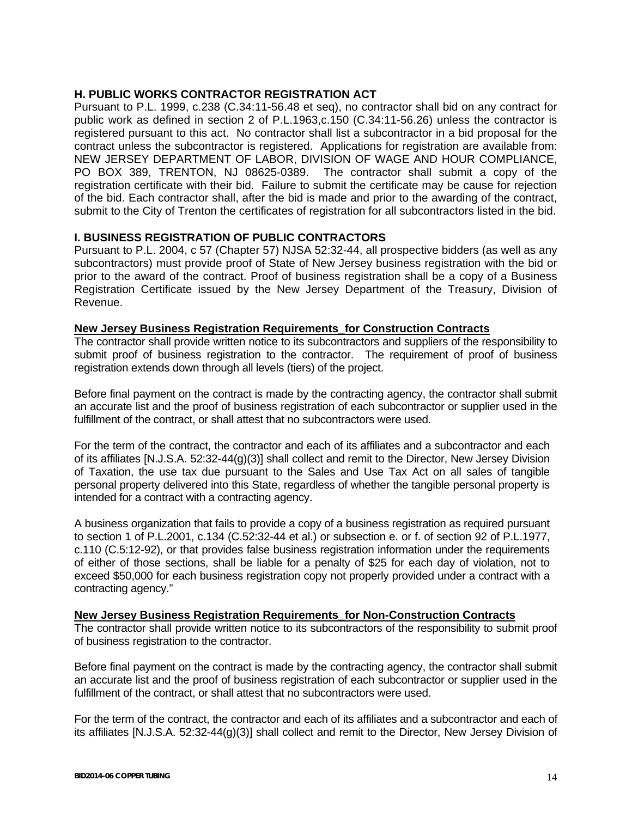### **H. PUBLIC WORKS CONTRACTOR REGISTRATION ACT**

Pursuant to P.L. 1999, c.238 (C.34:11-56.48 et seq), no contractor shall bid on any contract for public work as defined in section 2 of P.L.1963,c.150 (C.34:11-56.26) unless the contractor is registered pursuant to this act. No contractor shall list a subcontractor in a bid proposal for the contract unless the subcontractor is registered. Applications for registration are available from: NEW JERSEY DEPARTMENT OF LABOR, DIVISION OF WAGE AND HOUR COMPLIANCE, PO BOX 389, TRENTON, NJ 08625-0389. The contractor shall submit a copy of the registration certificate with their bid. Failure to submit the certificate may be cause for rejection of the bid. Each contractor shall, after the bid is made and prior to the awarding of the contract, submit to the City of Trenton the certificates of registration for all subcontractors listed in the bid.

#### **I. BUSINESS REGISTRATION OF PUBLIC CONTRACTORS**

Pursuant to P.L. 2004, c 57 (Chapter 57) NJSA 52:32-44, all prospective bidders (as well as any subcontractors) must provide proof of State of New Jersey business registration with the bid or prior to the award of the contract. Proof of business registration shall be a copy of a Business Registration Certificate issued by the New Jersey Department of the Treasury, Division of Revenue.

#### **New Jersey Business Registration Requirements\_for Construction Contracts**

The contractor shall provide written notice to its subcontractors and suppliers of the responsibility to submit proof of business registration to the contractor. The requirement of proof of business registration extends down through all levels (tiers) of the project.

Before final payment on the contract is made by the contracting agency, the contractor shall submit an accurate list and the proof of business registration of each subcontractor or supplier used in the fulfillment of the contract, or shall attest that no subcontractors were used.

For the term of the contract, the contractor and each of its affiliates and a subcontractor and each of its affiliates [N.J.S.A. 52:32-44(g)(3)] shall collect and remit to the Director, New Jersey Division of Taxation, the use tax due pursuant to the Sales and Use Tax Act on all sales of tangible personal property delivered into this State, regardless of whether the tangible personal property is intended for a contract with a contracting agency.

A business organization that fails to provide a copy of a business registration as required pursuant to section 1 of P.L.2001, c.134 (C.52:32-44 et al.) or subsection e. or f. of section 92 of P.L.1977, c.110 (C.5:12-92), or that provides false business registration information under the requirements of either of those sections, shall be liable for a penalty of \$25 for each day of violation, not to exceed \$50,000 for each business registration copy not properly provided under a contract with a contracting agency."

#### **New Jersey Business Registration Requirements\_for Non-Construction Contracts**

The contractor shall provide written notice to its subcontractors of the responsibility to submit proof of business registration to the contractor.

Before final payment on the contract is made by the contracting agency, the contractor shall submit an accurate list and the proof of business registration of each subcontractor or supplier used in the fulfillment of the contract, or shall attest that no subcontractors were used.

For the term of the contract, the contractor and each of its affiliates and a subcontractor and each of its affiliates [N.J.S.A. 52:32-44(g)(3)] shall collect and remit to the Director, New Jersey Division of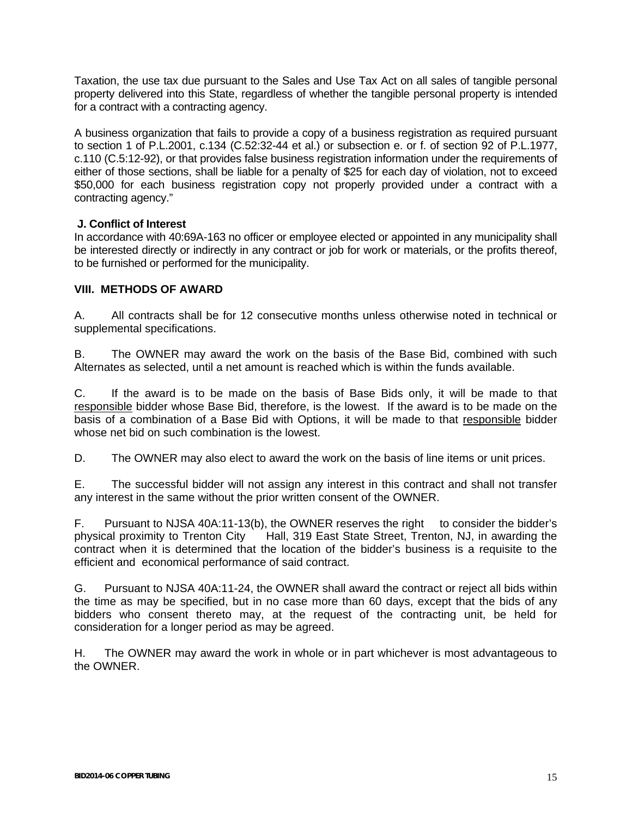Taxation, the use tax due pursuant to the Sales and Use Tax Act on all sales of tangible personal property delivered into this State, regardless of whether the tangible personal property is intended for a contract with a contracting agency.

A business organization that fails to provide a copy of a business registration as required pursuant to section 1 of P.L.2001, c.134 (C.52:32-44 et al.) or subsection e. or f. of section 92 of P.L.1977, c.110 (C.5:12-92), or that provides false business registration information under the requirements of either of those sections, shall be liable for a penalty of \$25 for each day of violation, not to exceed \$50,000 for each business registration copy not properly provided under a contract with a contracting agency."

## **J. Conflict of Interest**

In accordance with 40:69A-163 no officer or employee elected or appointed in any municipality shall be interested directly or indirectly in any contract or job for work or materials, or the profits thereof, to be furnished or performed for the municipality.

## **VIII. METHODS OF AWARD**

A. All contracts shall be for 12 consecutive months unless otherwise noted in technical or supplemental specifications.

B. The OWNER may award the work on the basis of the Base Bid, combined with such Alternates as selected, until a net amount is reached which is within the funds available.

C. If the award is to be made on the basis of Base Bids only, it will be made to that responsible bidder whose Base Bid, therefore, is the lowest. If the award is to be made on the basis of a combination of a Base Bid with Options, it will be made to that responsible bidder whose net bid on such combination is the lowest.

D. The OWNER may also elect to award the work on the basis of line items or unit prices.

E. The successful bidder will not assign any interest in this contract and shall not transfer any interest in the same without the prior written consent of the OWNER.

F. Pursuant to NJSA 40A:11-13(b), the OWNER reserves the right to consider the bidder's physical proximity to Trenton City Hall, 319 East State Street, Trenton, NJ, in awarding the contract when it is determined that the location of the bidder's business is a requisite to the efficient and economical performance of said contract.

G. Pursuant to NJSA 40A:11-24, the OWNER shall award the contract or reject all bids within the time as may be specified, but in no case more than 60 days, except that the bids of any bidders who consent thereto may, at the request of the contracting unit, be held for consideration for a longer period as may be agreed.

H. The OWNER may award the work in whole or in part whichever is most advantageous to the OWNER.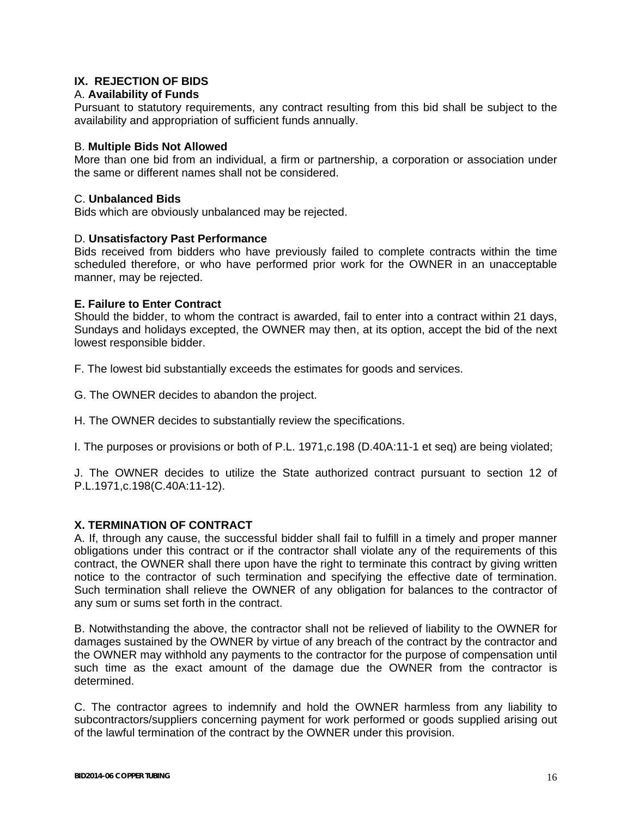## **IX. REJECTION OF BIDS**

#### A. **Availability of Funds**

Pursuant to statutory requirements, any contract resulting from this bid shall be subject to the availability and appropriation of sufficient funds annually.

#### B. **Multiple Bids Not Allowed**

More than one bid from an individual, a firm or partnership, a corporation or association under the same or different names shall not be considered.

#### C. **Unbalanced Bids**

Bids which are obviously unbalanced may be rejected.

#### D. **Unsatisfactory Past Performance**

Bids received from bidders who have previously failed to complete contracts within the time scheduled therefore, or who have performed prior work for the OWNER in an unacceptable manner, may be rejected.

#### **E. Failure to Enter Contract**

Should the bidder, to whom the contract is awarded, fail to enter into a contract within 21 days, Sundays and holidays excepted, the OWNER may then, at its option, accept the bid of the next lowest responsible bidder.

F. The lowest bid substantially exceeds the estimates for goods and services.

G. The OWNER decides to abandon the project.

H. The OWNER decides to substantially review the specifications.

I. The purposes or provisions or both of P.L. 1971,c.198 (D.40A:11-1 et seq) are being violated;

J. The OWNER decides to utilize the State authorized contract pursuant to section 12 of P.L.1971,c.198(C.40A:11-12).

#### **X. TERMINATION OF CONTRACT**

A. If, through any cause, the successful bidder shall fail to fulfill in a timely and proper manner obligations under this contract or if the contractor shall violate any of the requirements of this contract, the OWNER shall there upon have the right to terminate this contract by giving written notice to the contractor of such termination and specifying the effective date of termination. Such termination shall relieve the OWNER of any obligation for balances to the contractor of any sum or sums set forth in the contract.

B. Notwithstanding the above, the contractor shall not be relieved of liability to the OWNER for damages sustained by the OWNER by virtue of any breach of the contract by the contractor and the OWNER may withhold any payments to the contractor for the purpose of compensation until such time as the exact amount of the damage due the OWNER from the contractor is determined.

C. The contractor agrees to indemnify and hold the OWNER harmless from any liability to subcontractors/suppliers concerning payment for work performed or goods supplied arising out of the lawful termination of the contract by the OWNER under this provision.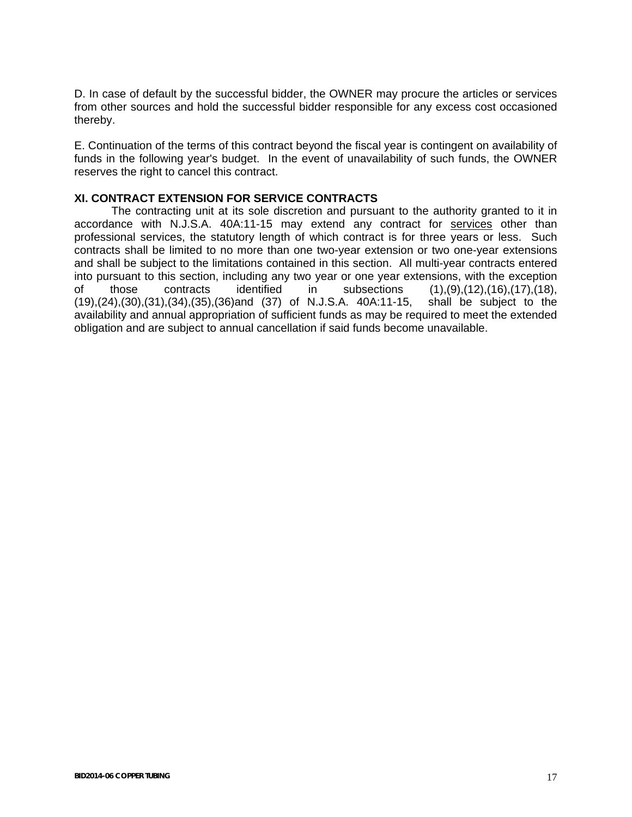D. In case of default by the successful bidder, the OWNER may procure the articles or services from other sources and hold the successful bidder responsible for any excess cost occasioned thereby.

E. Continuation of the terms of this contract beyond the fiscal year is contingent on availability of funds in the following year's budget. In the event of unavailability of such funds, the OWNER reserves the right to cancel this contract.

#### **XI. CONTRACT EXTENSION FOR SERVICE CONTRACTS**

 The contracting unit at its sole discretion and pursuant to the authority granted to it in accordance with N.J.S.A. 40A:11-15 may extend any contract for services other than professional services, the statutory length of which contract is for three years or less. Such contracts shall be limited to no more than one two-year extension or two one-year extensions and shall be subject to the limitations contained in this section. All multi-year contracts entered into pursuant to this section, including any two year or one year extensions, with the exception of those contracts identified in subsections (1),(9),(12),(16),(17),(18), (19),(24),(30),(31),(34),(35),(36)and (37) of N.J.S.A. 40A:11-15, shall be subject to the availability and annual appropriation of sufficient funds as may be required to meet the extended obligation and are subject to annual cancellation if said funds become unavailable.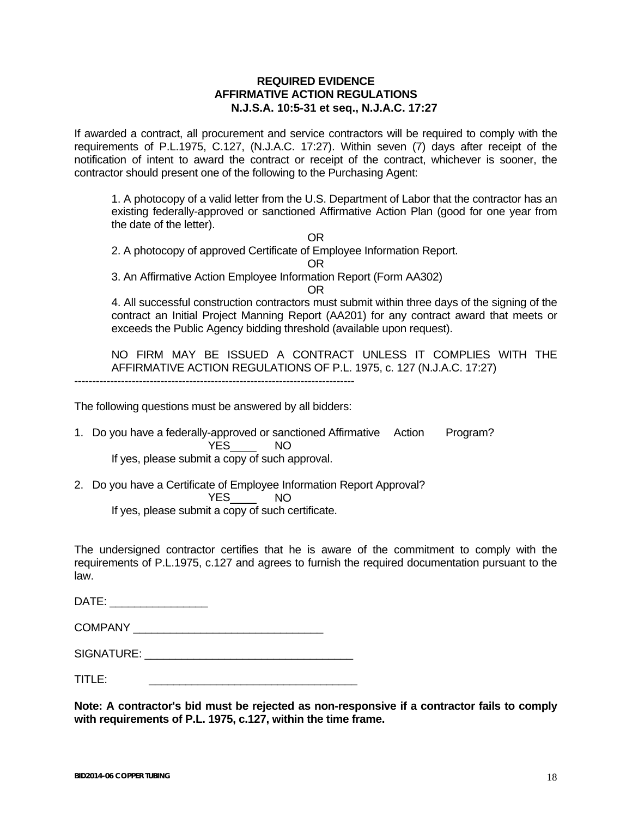#### **REQUIRED EVIDENCE AFFIRMATIVE ACTION REGULATIONS N.J.S.A. 10:5-31 et seq., N.J.A.C. 17:27**

If awarded a contract, all procurement and service contractors will be required to comply with the requirements of P.L.1975, C.127, (N.J.A.C. 17:27). Within seven (7) days after receipt of the notification of intent to award the contract or receipt of the contract, whichever is sooner, the contractor should present one of the following to the Purchasing Agent:

1. A photocopy of a valid letter from the U.S. Department of Labor that the contractor has an existing federally-approved or sanctioned Affirmative Action Plan (good for one year from the date of the letter).

**OR** STREET STREET AND THE STREET STREET STREET AND THE STREET STREET STREET AND THE STREET STREET AND THE STREET AND THE STREET AND THE STREET AND THE STREET AND THE STREET AND THE STREET AND THE STREET AND THE STREET AND

2. A photocopy of approved Certificate of Employee Information Report.

**OR** Service Service Service Service Service Service Service Service Service Service Service Service Service Service Service Service Service Service Service Service Service Service Service Service Service Service Service S

3. An Affirmative Action Employee Information Report (Form AA302)

**OR** Service Service Service Service Service Service Service Service Service Service Service Service Service Service Service Service Service Service Service Service Service Service Service Service Service Service Service S

4. All successful construction contractors must submit within three days of the signing of the contract an Initial Project Manning Report (AA201) for any contract award that meets or exceeds the Public Agency bidding threshold (available upon request).

NO FIRM MAY BE ISSUED A CONTRACT UNLESS IT COMPLIES WITH THE AFFIRMATIVE ACTION REGULATIONS OF P.L. 1975, c. 127 (N.J.A.C. 17:27)

The following questions must be answered by all bidders:

- 1. Do you have a federally-approved or sanctioned Affirmative Action Program? YES NO If yes, please submit a copy of such approval.
- 2. Do you have a Certificate of Employee Information Report Approval? YES NO

If yes, please submit a copy of such certificate.

The undersigned contractor certifies that he is aware of the commitment to comply with the requirements of P.L.1975, c.127 and agrees to furnish the required documentation pursuant to the law.

DATE: \_\_\_\_\_\_\_\_\_\_\_\_\_\_\_

COMPANY \_\_\_\_\_\_\_\_\_\_\_\_\_\_\_\_\_\_\_\_\_\_\_\_\_\_\_\_\_\_\_

SIGNATURE: \_\_\_\_\_\_\_\_\_\_\_\_\_\_\_\_\_\_\_\_\_\_\_\_\_\_\_\_\_\_\_\_\_\_

TITLE: \_\_\_\_\_\_\_\_\_\_\_\_\_\_\_\_\_\_\_\_\_\_\_\_\_\_\_\_\_\_\_\_\_\_

**Note: A contractor's bid must be rejected as non-responsive if a contractor fails to comply with requirements of P.L. 1975, c.127, within the time frame.**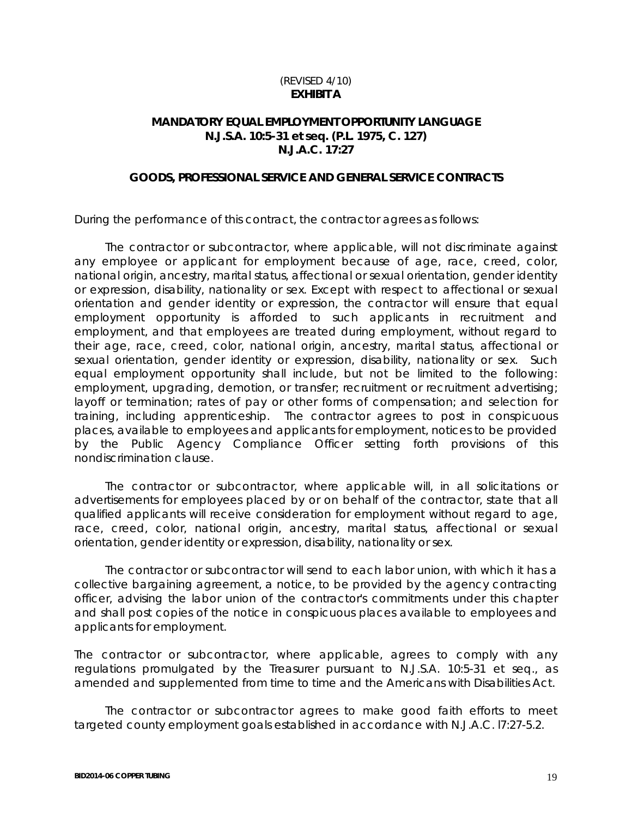## (REVISED 4/10) **EXHIBIT A**

## **MANDATORY EQUAL EMPLOYMENT OPPORTUNITY LANGUAGE N.J.S.A. 10:5-31 et seq. (P.L. 1975, C. 127) N.J.A.C. 17:27**

#### **GOODS, PROFESSIONAL SERVICE AND GENERAL SERVICE CONTRACTS**

During the performance of this contract, the contractor agrees as follows:

 The contractor or subcontractor, where applicable, will not discriminate against any employee or applicant for employment because of age, race, creed, color, national origin, ancestry, marital status, affectional or sexual orientation, gender identity or expression, disability, nationality or sex. Except with respect to affectional or sexual orientation and gender identity or expression, the contractor will ensure that equal employment opportunity is afforded to such applicants in recruitment and employment, and that employees are treated during employment, without regard to their age, race, creed, color, national origin, ancestry, marital status, affectional or sexual orientation, gender identity or expression, disability, nationality or sex. Such equal employment opportunity shall include, but not be limited to the following: employment, upgrading, demotion, or transfer; recruitment or recruitment advertising; layoff or termination; rates of pay or other forms of compensation; and selection for training, including apprenticeship. The contractor agrees to post in conspicuous places, available to employees and applicants for employment, notices to be provided by the Public Agency Compliance Officer setting forth provisions of this nondiscrimination clause.

 The contractor or subcontractor, where applicable will, in all solicitations or advertisements for employees placed by or on behalf of the contractor, state that all qualified applicants will receive consideration for employment without regard to age, race, creed, color, national origin, ancestry, marital status, affectional or sexual orientation, gender identity or expression, disability, nationality or sex.

 The contractor or subcontractor will send to each labor union, with which it has a collective bargaining agreement, a notice, to be provided by the agency contracting officer, advising the labor union of the contractor's commitments under this chapter and shall post copies of the notice in conspicuous places available to employees and applicants for employment.

The contractor or subcontractor, where applicable, agrees to comply with any regulations promulgated by the Treasurer pursuant to N.J.S.A. 10:5-31 et seq., as amended and supplemented from time to time and the Americans with Disabilities Act.

 The contractor or subcontractor agrees to make good faith efforts to meet targeted county employment goals established in accordance with N.J.A.C. l7:27-5.2.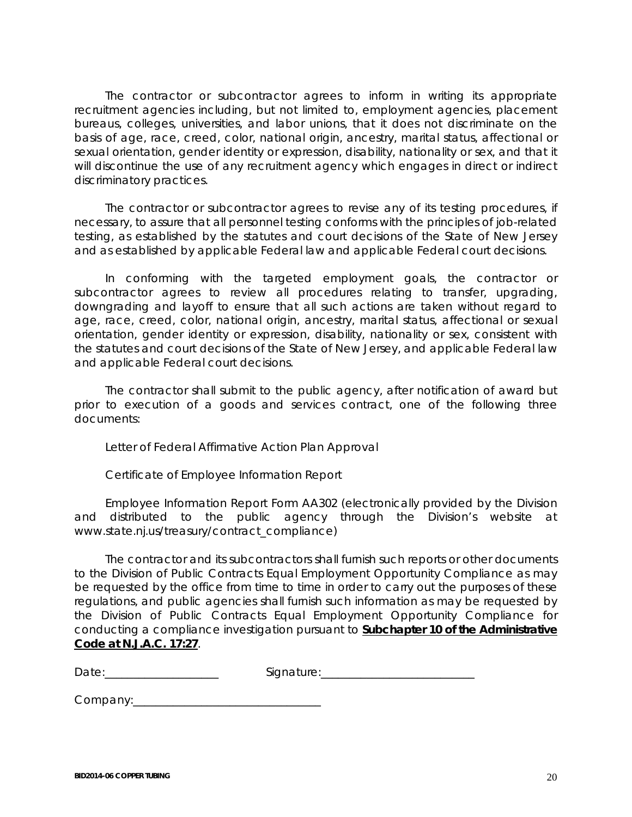The contractor or subcontractor agrees to inform in writing its appropriate recruitment agencies including, but not limited to, employment agencies, placement bureaus, colleges, universities, and labor unions, that it does not discriminate on the basis of age, race, creed, color, national origin, ancestry, marital status, affectional or sexual orientation, gender identity or expression, disability, nationality or sex, and that it will discontinue the use of any recruitment agency which engages in direct or indirect discriminatory practices.

 The contractor or subcontractor agrees to revise any of its testing procedures, if necessary, to assure that all personnel testing conforms with the principles of job-related testing, as established by the statutes and court decisions of the State of New Jersey and as established by applicable Federal law and applicable Federal court decisions.

 In conforming with the targeted employment goals, the contractor or subcontractor agrees to review all procedures relating to transfer, upgrading, downgrading and layoff to ensure that all such actions are taken without regard to age, race, creed, color, national origin, ancestry, marital status, affectional or sexual orientation, gender identity or expression, disability, nationality or sex, consistent with the statutes and court decisions of the State of New Jersey, and applicable Federal law and applicable Federal court decisions.

 The contractor shall submit to the public agency, after notification of award but prior to execution of a goods and services contract, one of the following three documents:

Letter of Federal Affirmative Action Plan Approval

Certificate of Employee Information Report

 Employee Information Report Form AA302 (electronically provided by the Division and distributed to the public agency through the Division's website at www.state.nj.us/treasury/contract\_compliance)

 The contractor and its subcontractors shall furnish such reports or other documents to the Division of Public Contracts Equal Employment Opportunity Compliance as may be requested by the office from time to time in order to carry out the purposes of these regulations, and public agencies shall furnish such information as may be requested by the Division of Public Contracts Equal Employment Opportunity Compliance for conducting a compliance investigation pursuant to **Subchapter 10 of the Administrative Code at N.J.A.C. 17:27**.

Date:\_\_\_\_\_\_\_\_\_\_\_\_\_\_\_\_\_\_\_\_ Signature:\_\_\_\_\_\_\_\_\_\_\_\_\_\_\_\_\_\_\_\_\_\_\_\_\_\_\_

Company:\_\_\_\_\_\_\_\_\_\_\_\_\_\_\_\_\_\_\_\_\_\_\_\_\_\_\_\_\_\_\_\_\_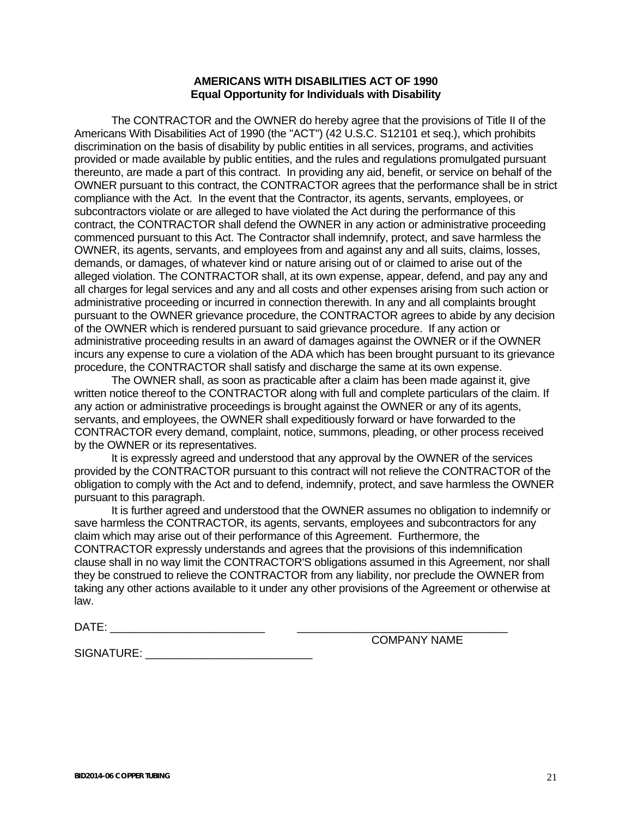#### **AMERICANS WITH DISABILITIES ACT OF 1990 Equal Opportunity for Individuals with Disability**

 The CONTRACTOR and the OWNER do hereby agree that the provisions of Title II of the Americans With Disabilities Act of 1990 (the "ACT") (42 U.S.C. S12101 et seq.), which prohibits discrimination on the basis of disability by public entities in all services, programs, and activities provided or made available by public entities, and the rules and regulations promulgated pursuant thereunto, are made a part of this contract. In providing any aid, benefit, or service on behalf of the OWNER pursuant to this contract, the CONTRACTOR agrees that the performance shall be in strict compliance with the Act. In the event that the Contractor, its agents, servants, employees, or subcontractors violate or are alleged to have violated the Act during the performance of this contract, the CONTRACTOR shall defend the OWNER in any action or administrative proceeding commenced pursuant to this Act. The Contractor shall indemnify, protect, and save harmless the OWNER, its agents, servants, and employees from and against any and all suits, claims, losses, demands, or damages, of whatever kind or nature arising out of or claimed to arise out of the alleged violation. The CONTRACTOR shall, at its own expense, appear, defend, and pay any and all charges for legal services and any and all costs and other expenses arising from such action or administrative proceeding or incurred in connection therewith. In any and all complaints brought pursuant to the OWNER grievance procedure, the CONTRACTOR agrees to abide by any decision of the OWNER which is rendered pursuant to said grievance procedure. If any action or administrative proceeding results in an award of damages against the OWNER or if the OWNER incurs any expense to cure a violation of the ADA which has been brought pursuant to its grievance procedure, the CONTRACTOR shall satisfy and discharge the same at its own expense.

 The OWNER shall, as soon as practicable after a claim has been made against it, give written notice thereof to the CONTRACTOR along with full and complete particulars of the claim. If any action or administrative proceedings is brought against the OWNER or any of its agents, servants, and employees, the OWNER shall expeditiously forward or have forwarded to the CONTRACTOR every demand, complaint, notice, summons, pleading, or other process received by the OWNER or its representatives.

 It is expressly agreed and understood that any approval by the OWNER of the services provided by the CONTRACTOR pursuant to this contract will not relieve the CONTRACTOR of the obligation to comply with the Act and to defend, indemnify, protect, and save harmless the OWNER pursuant to this paragraph.

 It is further agreed and understood that the OWNER assumes no obligation to indemnify or save harmless the CONTRACTOR, its agents, servants, employees and subcontractors for any claim which may arise out of their performance of this Agreement. Furthermore, the CONTRACTOR expressly understands and agrees that the provisions of this indemnification clause shall in no way limit the CONTRACTOR'S obligations assumed in this Agreement, nor shall they be construed to relieve the CONTRACTOR from any liability, nor preclude the OWNER from taking any other actions available to it under any other provisions of the Agreement or otherwise at law.

DATE: \_\_\_\_\_\_\_\_\_\_\_\_\_\_\_\_\_\_\_\_\_\_\_\_\_ \_\_\_\_\_\_\_\_\_\_\_\_\_\_\_\_\_\_\_\_\_\_\_\_\_\_\_\_\_\_\_\_\_\_

COMPANY NAME

SIGNATURE:  $\blacksquare$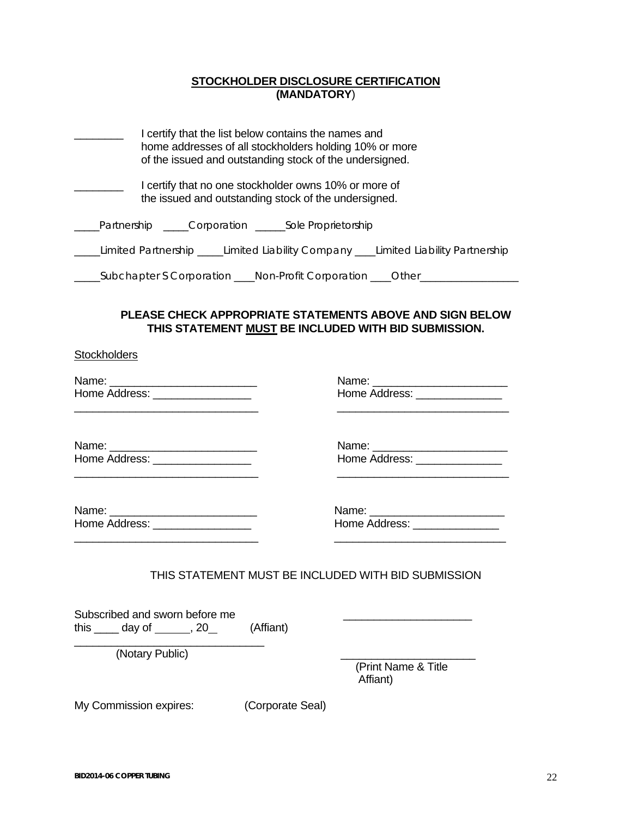## **STOCKHOLDER DISCLOSURE CERTIFICATION (MANDATORY**)

|                                                                                                               | I certify that the list below contains the names and<br>home addresses of all stockholders holding 10% or more<br>of the issued and outstanding stock of the undersigned. |  |  |  |
|---------------------------------------------------------------------------------------------------------------|---------------------------------------------------------------------------------------------------------------------------------------------------------------------------|--|--|--|
| I certify that no one stockholder owns 10% or more of<br>the issued and outstanding stock of the undersigned. |                                                                                                                                                                           |  |  |  |
|                                                                                                               | Partnership Corporation Sole Proprietorship                                                                                                                               |  |  |  |
| Limited Partnership _____Limited Liability Company ____Limited Liability Partnership                          |                                                                                                                                                                           |  |  |  |
|                                                                                                               | _Subchapter S Corporation ____ Non-Profit Corporation ____ Other_                                                                                                         |  |  |  |

## **PLEASE CHECK APPROPRIATE STATEMENTS ABOVE AND SIGN BELOW THIS STATEMENT MUST BE INCLUDED WITH BID SUBMISSION.**

**Stockholders** 

|                                                                                                                       | Name: _________________________                                                                                      |
|-----------------------------------------------------------------------------------------------------------------------|----------------------------------------------------------------------------------------------------------------------|
| Home Address: ___________________                                                                                     | Home Address: ________________                                                                                       |
| <u> 1986 - Johann Harry Harry Harry Harry Harry Harry Harry Harry Harry Harry Harry Harry Harry Harry Harry Harry</u> | <u> 1980 - Andrea Andrew Amerikaanse kommunister († 1950)</u>                                                        |
|                                                                                                                       | Name: _________________________                                                                                      |
| Home Address: __________________                                                                                      | Home Address: ________________                                                                                       |
|                                                                                                                       | <u> 1989 - Jan James James Jan James James Jan James James Jan James James Jan James James Jan Jan James James J</u> |
|                                                                                                                       | Name: __________________________                                                                                     |
| Home Address: __________________                                                                                      | Home Address: _______________                                                                                        |
| <u> 1989 - Johann Stoff, deutscher Stoff, der Stoff, der Stoff, der Stoff, der Stoff, der Stoff, der Stoff, der S</u> | <u> 1989 - Johann Stoff, amerikansk politiker (d. 1989)</u>                                                          |
| THIS STATEMENT MUST BE INCLUDED WITH BID SUBMISSION                                                                   |                                                                                                                      |
| Subscribed and sworn before me<br>this $\_\_\_$ day of $\_\_\_\_$ , 20 $\_\_\_\$ (Affiant)                            |                                                                                                                      |

(Notary Public) \_\_\_\_\_\_\_\_\_\_\_\_\_\_\_\_\_\_\_\_\_\_

 (Print Name & Title Affiant)

My Commission expires: (Corporate Seal)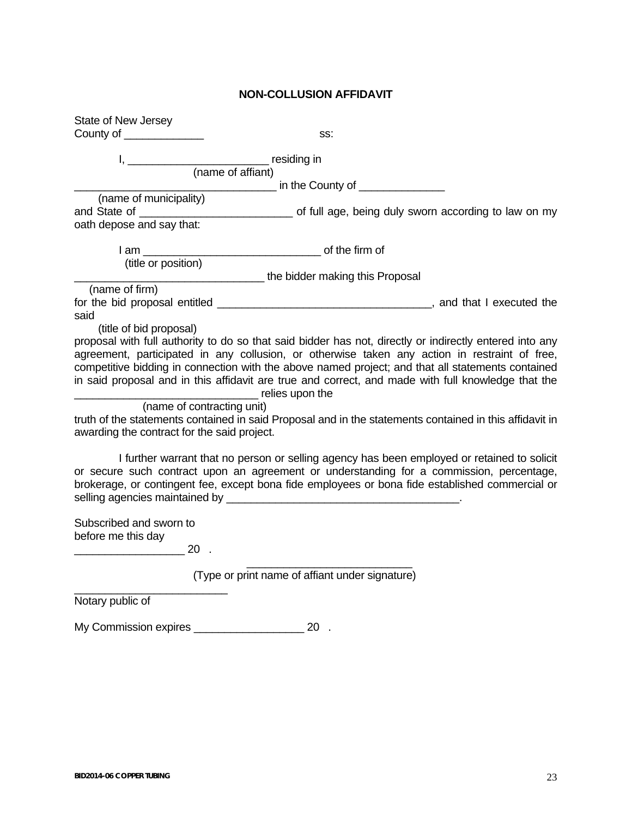#### **NON-COLLUSION AFFIDAVIT**

State of New Jersey County of \_\_\_\_\_\_\_\_\_\_\_\_\_ss: I, \_\_\_\_\_\_\_\_\_\_\_\_\_\_\_\_\_\_\_\_\_\_\_ residing in (name of affiant) \_\_\_\_\_\_\_\_\_\_\_\_\_\_\_\_\_\_\_\_\_\_\_\_\_\_\_\_\_\_\_\_\_ in the County of \_\_\_\_\_\_\_\_\_\_\_\_\_\_ (name of municipality) and State of \_\_\_\_\_\_\_\_\_\_\_\_\_\_\_\_\_\_\_\_\_\_\_\_\_ of full age, being duly sworn according to law on my oath depose and say that: I am \_\_\_\_\_\_\_\_\_\_\_\_\_\_\_\_\_\_\_\_\_\_\_\_\_\_\_\_\_ of the firm of (title or position) \_\_\_\_\_\_\_\_\_\_\_\_\_\_\_\_\_\_\_\_\_\_\_\_\_\_\_\_\_\_\_ the bidder making this Proposal (name of firm) for the bid proposal entitled  $\blacksquare$ said (title of bid proposal) proposal with full authority to do so that said bidder has not, directly or indirectly entered into any agreement, participated in any collusion, or otherwise taken any action in restraint of free, competitive bidding in connection with the above named project; and that all statements contained in said proposal and in this affidavit are true and correct, and made with full knowledge that the \_\_\_\_\_\_\_\_\_\_\_\_\_\_\_\_\_\_\_\_\_\_\_\_\_\_\_\_\_\_ relies upon the (name of contracting unit) truth of the statements contained in said Proposal and in the statements contained in this affidavit in awarding the contract for the said project. I further warrant that no person or selling agency has been employed or retained to solicit or secure such contract upon an agreement or understanding for a commission, percentage, brokerage, or contingent fee, except bona fide employees or bona fide established commercial or selling agencies maintained by Subscribed and sworn to before me this day \_\_\_\_\_\_\_\_\_\_\_\_\_\_\_\_\_\_ 20 .  $\frac{1}{\sqrt{2}}$  ,  $\frac{1}{\sqrt{2}}$  ,  $\frac{1}{\sqrt{2}}$  ,  $\frac{1}{\sqrt{2}}$  ,  $\frac{1}{\sqrt{2}}$  ,  $\frac{1}{\sqrt{2}}$  ,  $\frac{1}{\sqrt{2}}$  ,  $\frac{1}{\sqrt{2}}$  ,  $\frac{1}{\sqrt{2}}$  ,  $\frac{1}{\sqrt{2}}$  ,  $\frac{1}{\sqrt{2}}$  ,  $\frac{1}{\sqrt{2}}$  ,  $\frac{1}{\sqrt{2}}$  ,  $\frac{1}{\sqrt{2}}$  ,  $\frac{1}{\sqrt{2}}$  (Type or print name of affiant under signature) \_\_\_\_\_\_\_\_\_\_\_\_\_\_\_\_\_\_\_\_\_\_\_\_\_

Notary public of

My Commission expires \_\_\_\_\_\_\_\_\_\_\_\_\_\_\_\_\_\_ 20 .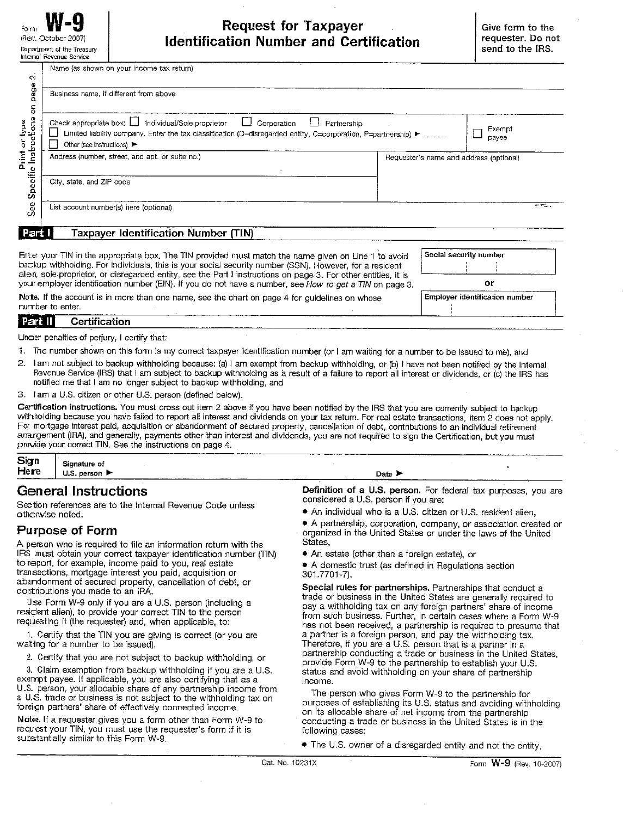Name (as shown on your income tax return)

| $\sim$<br>page                           | Business name, if different from above                                                                                                                                                                                                            |                                         |
|------------------------------------------|---------------------------------------------------------------------------------------------------------------------------------------------------------------------------------------------------------------------------------------------------|-----------------------------------------|
| န<br>öns<br>rint or type<br>Instructions | Check appropriate box: $\Box$<br>Individual/Sole proprietor<br>Corporation<br>$\Box$<br>Partnership<br>Limited liability company. Enter the tax classification (D=disregarded entity, C=corporation, P=partnership) ►<br>Other (see instructions) | Exempt<br>payee                         |
| Print<br>L                               | Address (number, street, and apt. or suite no.)                                                                                                                                                                                                   | Requester's name and address (optional) |
| Specific                                 | City, state, and ZIP code                                                                                                                                                                                                                         |                                         |
| See                                      | List account number(s) here (optional)                                                                                                                                                                                                            | Spin Highway                            |
| Part                                     | Taxpayer Identification Number (TIN)                                                                                                                                                                                                              |                                         |

Enter your TIN in the appropriate box. The TIN provided must match the name given on Line 1 to avoid backup withholding. For individuals, this is your social security number (SSN). However, for a resident alien, sole proprietor, or disregarded entity, see the Part I instructions on page 3. For other entities, it is your employer identification number (EIN). If you do not have a number, see How to get a TIN on page 3.

Note. If the account is in more than one name, see the chart on page 4 for guidelines on whose number to enter.

# or

Social security number

Employer identification number

#### Certification Part II

Under penalties of perjury, I certify that:

1. The number shown on this form is my correct taxpayer identification number (or I am waiting for a number to be issued to me), and

- 2. I am not subject to backup withholding because: (a) I am exempt from backup withholding, or (b) I have not been notified by the Internal Revenue Service (IRS) that I am subject to backup withholding as a result of a failure to report all interest or dividends, or (c) the IRS has notified me that I am no longer subject to backup withholding, and
- 3. I am a U.S. citizen or other U.S. person (defined below).

Certification instructions. You must cross out item 2 above if you have been notified by the IRS that you are currently subject to backup withholding because you have failed to report all interest and dividends on your tax return. For real estate transactions, item 2 does not apply. For mortgage interest paid, acquisition or abandonment of secured property, cancellation of debt, contributions to an individual retirement arrangement (IRA), and generally, payments other than interest and dividends, you are not required to sign the Certification, but you must provide your correct TIN. See the instructions on page 4.

| Sign | _______<br>----<br>___<br>Signature of                                         |                                                                                      |  |
|------|--------------------------------------------------------------------------------|--------------------------------------------------------------------------------------|--|
| Here | U.S. person $\blacktriangleright$<br>$\sim$ are commenced to a second a $\sim$ | Date                                                                                 |  |
|      | - -<br>- -                                                                     | the company and service and the company of the company of<br>__ _ _ _<br>.<br>$\sim$ |  |

#### **General Instructions**

Section references are to the Internal Revenue Code unless otherwise noted.

#### **Purpose of Form**

A person who is required to file an information return with the IRS must obtain your correct taxpayer identification number (TIN) to report, for example, income paid to you, real estate transactions, mortgage interest you paid, acquisition or abandonment of secured property, cancellation of debt, or contributions you made to an IRA.

Use Form W-9 only if you are a U.S. person (including a resident alien), to provide your correct TIN to the person requesting it (the requester) and, when applicable, to:

1. Certify that the TIN you are giving is correct (or you are waiting for a number to be issued),

2. Certify that you are not subject to backup withholding, or

3. Claim exemption from backup withholding if you are a U.S. exempt payee. If applicable, you are also certifying that as a U.S. person, your allocable share of any partnership income from a U.S. trade or business is not subject to the withholding tax on foreign partners' share of effectively connected income.

Note. If a requester gives you a form other than Form W-9 to request your TIN, you must use the requester's form if it is substantially similar to this Form W-9.

Definition of a U.S. person. For federal tax purposes, you are considered a U.S. person if you are:

• An individual who is a U.S. citizen or U.S. resident alien,

• A partnership, corporation, company, or association created or organized in the United States or under the laws of the United States,

• An estate (other than a foreign estate), or

• A domestic trust (as defined in Regulations section 301.7701-7).

Special rules for partnerships. Partnerships that conduct a trade or business in the United States are generally required to pay a withholding tax on any foreign partners' share of income from such business. Further, in certain cases where a Form W-9 has not been received, a partnership is required to presume that a partner is a foreign person, and pay the withholding tax. Therefore, if you are a U.S. person that is a partner in a partnership conducting a trade or business in the United States, provide Form W-9 to the partnership to establish your U.S. status and avoid withholding on your share of partnership income.

The person who gives Form W-9 to the partnership for purposes of establishing its U.S. status and avoiding withholding on its allocable share of net income from the partnership conducting a trade or business in the United States is in the following cases:

• The U.S. owner of a disregarded entity and not the entity.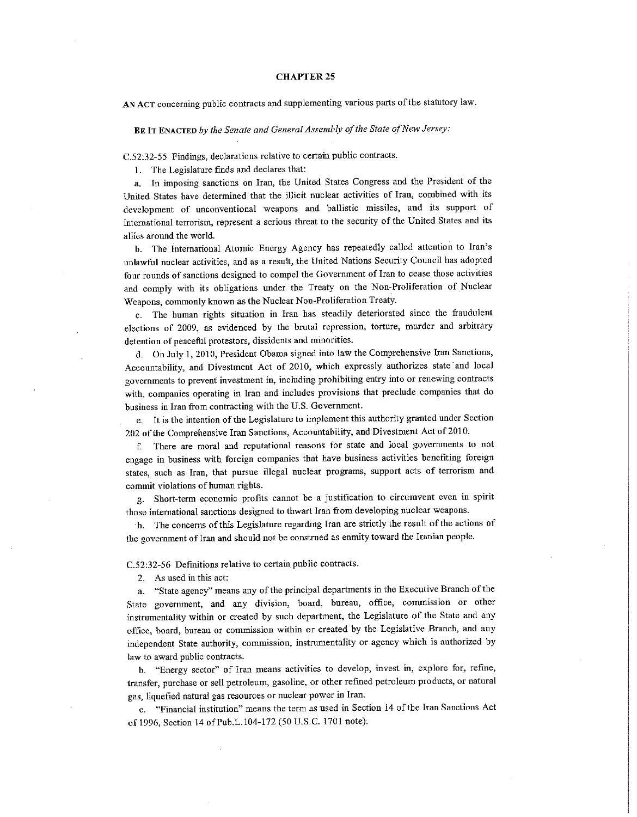#### **CHAPTER 25**

AN ACT concerning public contracts and supplementing various parts of the statutory law.

BE IT ENACTED by the Senate and General Assembly of the State of New Jersey:

C.52:32-55 Findings, declarations relative to certain public contracts.

1. The Legislature finds and declares that:

In imposing sanctions on Iran, the United States Congress and the President of the  $\mathbf{a}$ United States have determined that the illicit nuclear activities of Iran, combined with its development of unconventional weapons and ballistic missiles, and its support of international terrorism, represent a serious threat to the security of the United States and its allies around the world.

b. The International Atomic Energy Agency has repeatedly called attention to Iran's unlawful nuclear activities, and as a result, the United Nations Security Council has adopted four rounds of sanctions designed to compel the Government of Iran to cease those activities and comply with its obligations under the Treaty on the Non-Proliferation of Nuclear Weapons, commonly known as the Nuclear Non-Proliferation Treaty.

The human rights situation in Iran has steadily deteriorated since the fraudulent elections of 2009, as evidenced by the brutal repression, torture, murder and arbitrary detention of peaceful protestors, dissidents and minorities.

d. On July 1, 2010, President Obama signed into law the Comprehensive Iran Sanctions. Accountability, and Divestment Act of 2010, which expressly authorizes state and local governments to prevent investment in, including prohibiting entry into or renewing contracts with, companies operating in Iran and includes provisions that preclude companies that do business in Iran from contracting with the U.S. Government.

e. It is the intention of the Legislature to implement this authority granted under Section 202 of the Comprehensive Iran Sanctions, Accountability, and Divestment Act of 2010.

There are moral and reputational reasons for state and local governments to not f. engage in business with foreign companies that have business activities benefiting foreign states, such as Iran, that pursue illegal nuclear programs, support acts of terrorism and commit violations of human rights.

g. Short-term economic profits cannot be a justification to circumvent even in spirit those international sanctions designed to thwart Iran from developing nuclear weapons.

h. The concerns of this Legislature regarding Iran are strictly the result of the actions of the government of Iran and should not be construed as enmity toward the Iranian people.

C.52:32-56 Definitions relative to certain public contracts.

2. As used in this act:

a. "State agency" means any of the principal departments in the Executive Branch of the State government, and any division, board, bureau, office, commission or other instrumentality within or created by such department, the Legislature of the State and any office, board, bureau or commission within or created by the Legislative Branch, and any independent State authority, commission, instrumentality or agency which is authorized by law to award public contracts.

b. "Energy sector" of Iran means activities to develop, invest in, explore for, refine, transfer, purchase or sell petroleum, gasoline, or other refined petroleum products, or natural gas, liquefied natural gas resources or nuclear power in Iran.

c. "Financial institution" means the term as used in Section 14 of the Iran Sanctions Act of 1996, Section 14 of Pub.L.104-172 (50 U.S.C. 1701 note).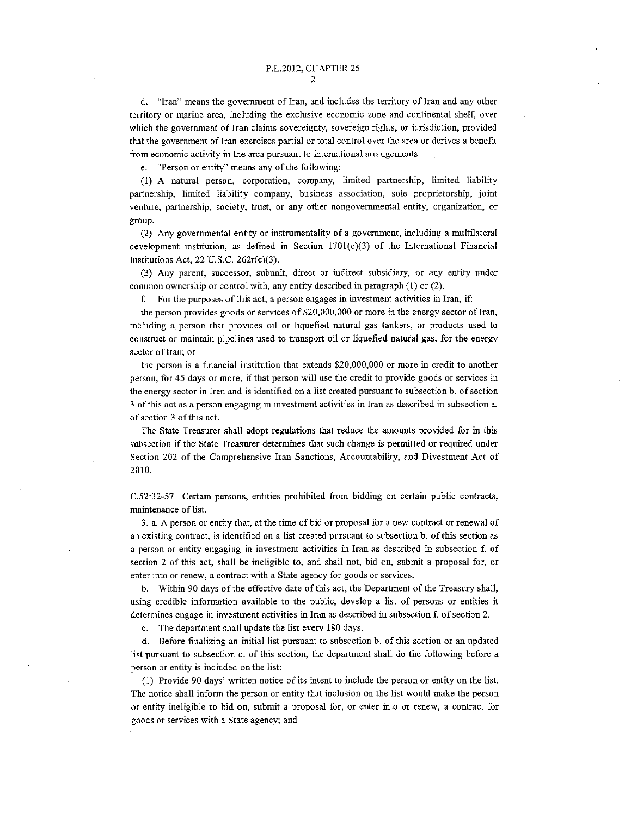d. "Iran" means the government of Iran, and includes the territory of Iran and any other territory or marine area, including the exclusive economic zone and continental shelf, over which the government of Iran claims sovereignty, sovereign rights, or jurisdiction, provided that the government of Iran exercises partial or total control over the area or derives a benefit from economic activity in the area pursuant to international arrangements.

e. "Person or entity" means any of the following:

(1) A natural person, corporation, company, limited partnership, limited liability partnership, limited liability company, business association, sole proprietorship, joint venture, partnership, society, trust, or any other nongovernmental entity, organization, or group.

(2) Any governmental entity or instrumentality of a government, including a multilateral development institution, as defined in Section  $1701(c)(3)$  of the International Financial Institutions Act, 22 U.S.C. 262r(c)(3).

(3) Any parent, successor, subunit, direct or indirect subsidiary, or any entity under common ownership or control with, any entity described in paragraph  $(1)$  or  $(2)$ .

f. For the purposes of this act, a person engages in investment activities in Iran, if:

the person provides goods or services of  $$20,000,000$  or more in the energy sector of Iran, including a person that provides oil or liquefied natural gas tankers, or products used to construct or maintain pipelines used to transport oil or liquefied natural gas, for the energy sector of Iran; or

the person is a financial institution that extends \$20,000,000 or more in credit to another person, for 45 days or more, if that person will use the credit to provide goods or services in the energy sector in Iran and is identified on a list created pursuant to subsection b. of section 3 of this act as a person engaging in investment activities in Iran as described in subsection a. of section 3 of this act.

The State Treasurer shall adopt regulations that reduce the amounts provided for in this subsection if the State Treasurer determines that such change is permitted or required under Section 202 of the Comprehensive Iran Sanctions, Accountability, and Divestment Act of 2010.

C.52:32-57 Certain persons, entities prohibited from bidding on certain public contracts, maintenance of list.

3. a. A person or entity that, at the time of bid or proposal for a new contract or renewal of an existing contract, is identified on a list created pursuant to subsection b. of this section as a person or entity engaging in investment activities in Iran as described in subsection f. of section 2 of this act, shall be ineligible to, and shall not, bid on, submit a proposal for, or enter into or renew, a contract with a State agency for goods or services.

Within 90 days of the effective date of this act, the Department of the Treasury shall, using credible information available to the public, develop a list of persons or entities it determines engage in investment activities in Iran as described in subsection f. of section 2.

c. The department shall update the list every 180 days.

d. Before finalizing an initial list pursuant to subsection b. of this section or an updated list pursuant to subsection c. of this section, the department shall do the following before a person or entity is included on the list:

(1) Provide 90 days' written notice of its intent to include the person or entity on the list. The notice shall inform the person or entity that inclusion on the list would make the person or entity ineligible to bid on, submit a proposal for, or enter into or renew, a contract for goods or services with a State agency; and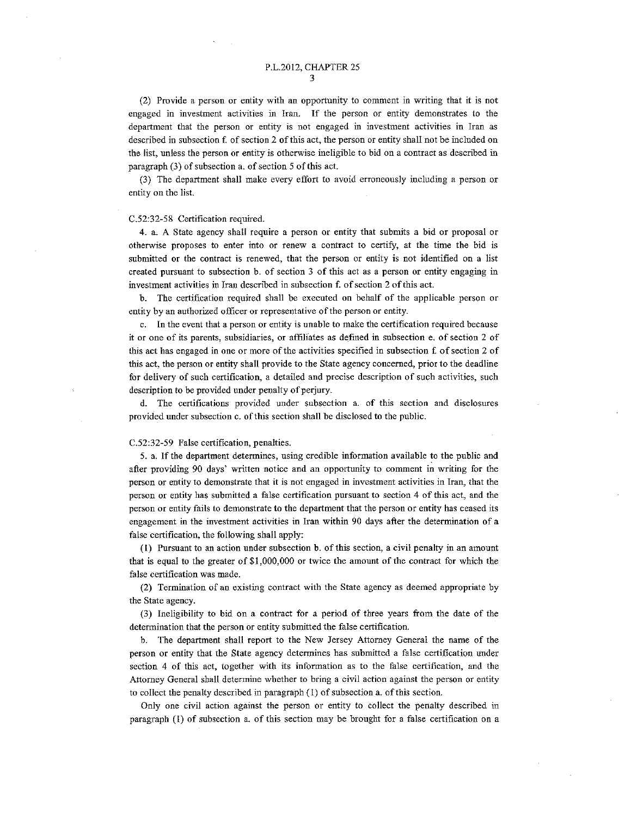(2) Provide a person or entity with an opportunity to comment in writing that it is not engaged in investment activities in Iran. If the person or entity demonstrates to the department that the person or entity is not engaged in investment activities in Iran as described in subsection f, of section 2 of this act, the person or entity shall not be included on the list, unless the person or entity is otherwise ineligible to bid on a contract as described in paragraph (3) of subsection a. of section 5 of this act.

(3) The department shall make every effort to avoid erroneously including a person or entity on the list.

#### C.52:32-58 Certification required.

4. a. A State agency shall require a person or entity that submits a bid or proposal or otherwise proposes to enter into or renew a contract to certify, at the time the bid is submitted or the contract is renewed, that the person or entity is not identified on a list created pursuant to subsection b. of section 3 of this act as a person or entity engaging in investment activities in Iran described in subsection f. of section 2 of this act.

b. The certification required shall be executed on behalf of the applicable person or entity by an authorized officer or representative of the person or entity.

c. In the event that a person or entity is unable to make the certification required because it or one of its parents, subsidiaries, or affiliates as defined in subsection e, of section 2 of this act has engaged in one or more of the activities specified in subsection f. of section 2 of this act, the person or entity shall provide to the State agency concerned, prior to the deadline for delivery of such certification, a detailed and precise description of such activities, such description to be provided under penalty of perjury.

d. The certifications provided under subsection a. of this section and disclosures provided under subsection c. of this section shall be disclosed to the public.

#### C.52:32-59 False certification, penalties.

5. a. If the department determines, using credible information available to the public and after providing 90 days' written notice and an opportunity to comment in writing for the person or entity to demonstrate that it is not engaged in investment activities in Iran, that the person or entity has submitted a false certification pursuant to section 4 of this act, and the person or entity fails to demonstrate to the department that the person or entity has ceased its engagement in the investment activities in Iran within 90 days after the determination of a false certification, the following shall apply:

(1) Pursuant to an action under subsection b. of this section, a civil penalty in an amount that is equal to the greater of \$1,000,000 or twice the amount of the contract for which the false certification was made.

(2) Termination of an existing contract with the State agency as deemed appropriate by the State agency.

(3) Ineligibility to bid on a contract for a period of three years from the date of the determination that the person or entity submitted the false certification.

b. The department shall report to the New Jersey Attorney General the name of the person or entity that the State agency determines has submitted a false certification under section 4 of this act, together with its information as to the false certification, and the Attorney General shall determine whether to bring a civil action against the person or entity to collect the penalty described in paragraph  $(1)$  of subsection a. of this section.

Only one civil action against the person or entity to collect the penalty described in paragraph (1) of subsection a. of this section may be brought for a false certification on a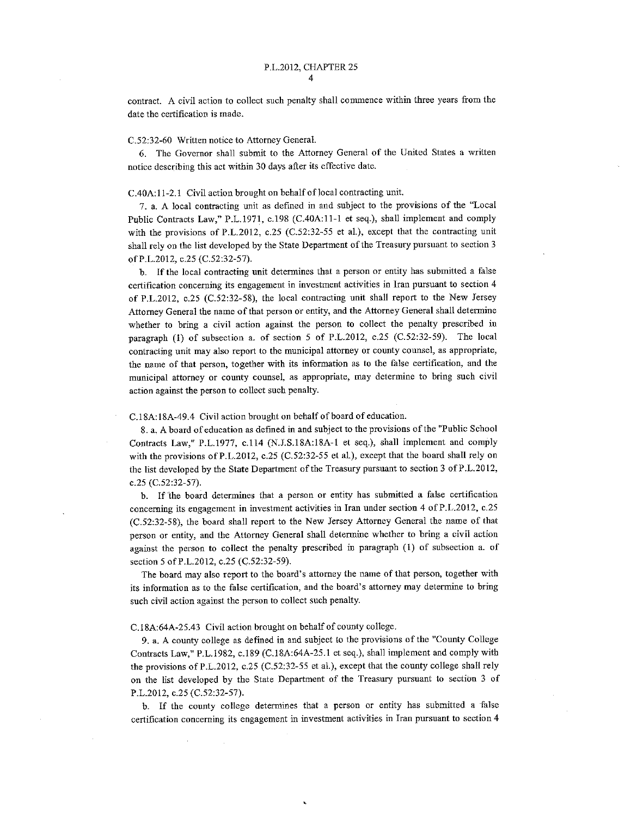contract. A civil action to collect such penalty shall commence within three years from the date the certification is made.

#### C.52:32-60 Written notice to Attorney General.

6. The Governor shall submit to the Attorney General of the United States a written notice describing this act within 30 days after its effective date.

#### C.40A:11-2.1 Civil action brought on behalf of local contracting unit.

7. a. A local contracting unit as defined in and subject to the provisions of the "Local Public Contracts Law," P.L.1971, c.198 (C.40A:11-1 et seq.), shall implement and comply with the provisions of P.L.2012, c.25 (C.52:32-55 et al.), except that the contracting unit shall rely on the list developed by the State Department of the Treasury pursuant to section 3 of P.L.2012, c.25 (C.52:32-57).

b. If the local contracting unit determines that a person or entity has submitted a false certification concerning its engagement in investment activities in Iran pursuant to section 4 of P.L.2012, c.25 (C.52:32-58), the local contracting unit shall report to the New Jersey Attorney General the name of that person or entity, and the Attorney General shall determine whether to bring a civil action against the person to collect the penalty prescribed in paragraph (1) of subsection a. of section 5 of P.L.2012, c.25 (C.52:32-59). The local contracting unit may also report to the municipal attorney or county counsel, as appropriate, the name of that person, together with its information as to the false certification, and the municipal attorney or county counsel, as appropriate, may determine to bring such civil action against the person to collect such penalty.

#### C.18A:18A-49.4 Civil action brought on behalf of board of education.

8. a. A board of education as defined in and subject to the provisions of the "Public School" Contracts Law," P.L.1977, c.114 (N.J.S.18A:18A-1 et seq.), shall implement and comply with the provisions of P.L.2012, c.25 (C.52:32-55 et al.), except that the board shall rely on the list developed by the State Department of the Treasury pursuant to section 3 of P.L.2012, c.25 (C.52:32-57).

b. If the board determines that a person or entity has submitted a false certification concerning its engagement in investment activities in Iran under section 4 of P.L.2012, c.25 (C.52:32-58), the board shall report to the New Jersey Attorney General the name of that person or entity, and the Attorney General shall determine whether to bring a civil action against the person to collect the penalty prescribed in paragraph (1) of subsection a. of section 5 of P.L.2012, c.25 (C.52:32-59).

The board may also report to the board's attorney the name of that person, together with its information as to the false certification, and the board's attorney may determine to bring such civil action against the person to collect such penalty.

#### C.18A:64A-25.43 Civil action brought on behalf of county college.

9. a. A county college as defined in and subject to the provisions of the "County College Contracts Law," P.L.1982, c.189 (C.18A:64A-25.1 et seq.), shall implement and comply with the provisions of P.L.2012, c.25 (C.52:32-55 et al.), except that the county college shall rely on the list developed by the State Department of the Treasury pursuant to section 3 of P.L.2012, c.25 (C.52:32-57).

b. If the county college determines that a person or entity has submitted a false certification concerning its engagement in investment activities in Iran pursuant to section 4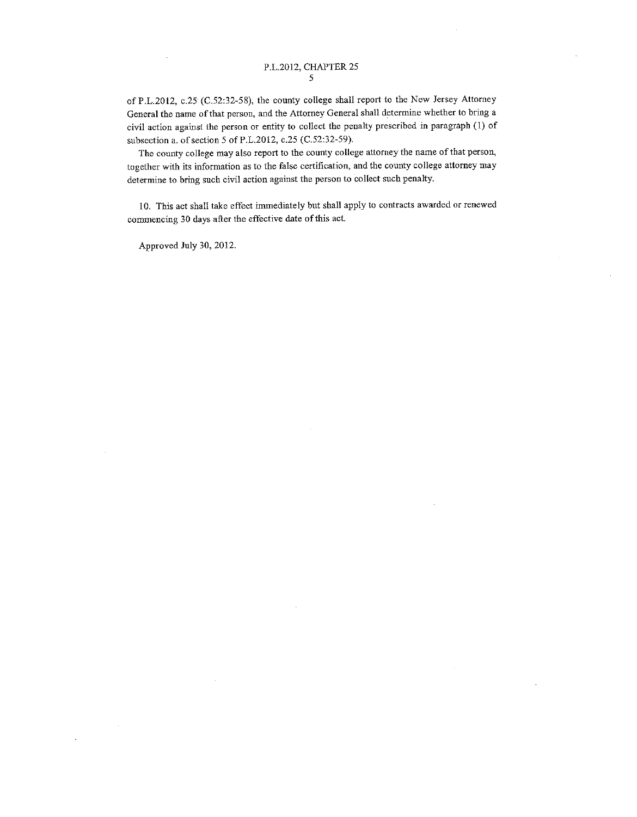of P.L.2012, c.25 (C.52:32-58), the county college shall report to the New Jersey Attorney General the name of that person, and the Attorney General shall determine whether to bring a civil action against the person or entity to collect the penalty prescribed in paragraph (1) of subsection a. of section 5 of P.L.2012, c.25 (C.52:32-59).

The county college may also report to the county college attorney the name of that person, together with its information as to the false certification, and the county college attorney may determine to bring such civil action against the person to collect such penalty.

10. This act shall take effect immediately but shall apply to contracts awarded or renewed commencing 30 days after the effective date of this act.

Approved July 30, 2012.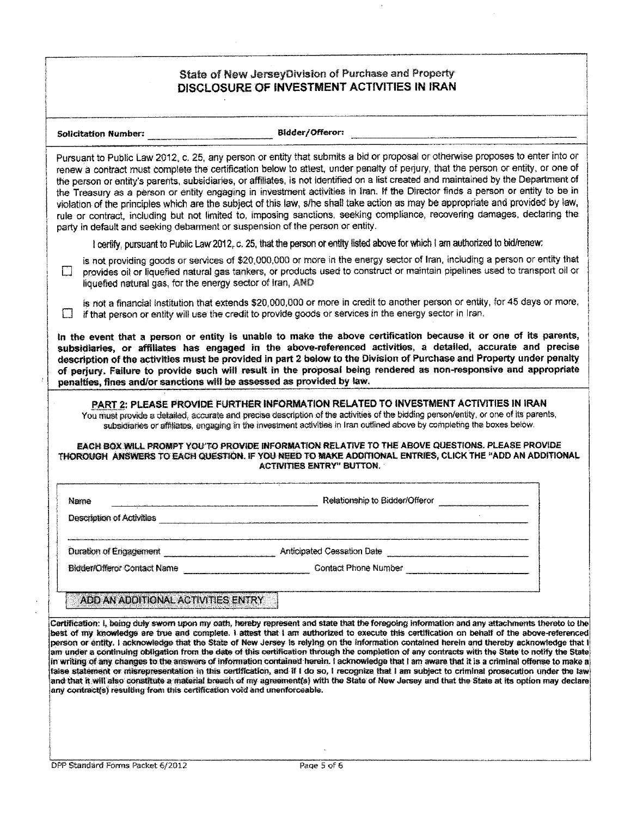#### State of New JerseyDivision of Purchase and Property DISCLOSURE OF INVESTMENT ACTIVITIES IN IRAN

Solicitation Number: Bidder/Offeror: 2007 2012 2012 2013 2014 2015 2016 2017 2018 2019 2019 2019 201

Pursuant to Public Law 2012, c. 25, any person or entity that submits a bid or proposal or otherwise proposes to enter into or renew a contract must complete the certification below to attest, under penalty of perjury, that the person or entity, or one of the person or entity's parents, subsidiaries, or affiliates, is not identified on a list created and maintained by the Department of the Treasury as a person or entity engaging in investment activities in Iran. If the Director finds a person or entity to be in violation of the principles which are the subject of this law, s/he shall take action as may be appropriate and provided by law. rule or contract, including but not limited to, imposing sanctions, seeking compliance, recovering damages, declaring the party in default and seeking debarment or suspension of the person or entity.

I certify, pursuant to Public Law 2012, c. 25, that the person or entity listed above for which I am authorized to bid/renew:

is not providing goods or services of \$20,000,000 or more in the energy sector of Iran, including a person or entity that provides oil or liquefied natural gas tankers, or products used to construct or maintain pipelines used to transport oil or  $\Box$ liquefied natural gas, for the energy sector of Iran, AND

is not a financial institution that extends \$20,000,000 or more in credit to another person or entity, for 45 days or more, If that person or entity will use the credit to provide goods or services in the energy sector in Iran.

In the event that a person or entity is unable to make the above certification because it or one of its parents, subsidiaries, or affiliates has engaged in the above-referenced activities, a detailed, accurate and precise description of the activities must be provided in part 2 below to the Division of Purchase and Property under penalty of perjury. Failure to provide such will result in the proposal being rendered as non-responsive and appropriate penalties. fines and/or sanctions will be assessed as provided by law.

#### PART 2: PLEASE PROVIDE FURTHER INFORMATION RELATED TO INVESTMENT ACTIVITIES IN IRAN

You must provide a detailed, accurate and precise description of the activities of the bidding person/entity, or one of its parents, subsidiaries or affiliates, engaging in the investment activities in Iran outlined above by completing the boxes below.

#### EACH BOX WILL PROMPT YOU'TO PROVIDE INFORMATION RELATIVE TO THE ABOVE QUESTIONS. PLEASE PROVIDE THOROUGH ANSWERS TO EACH QUESTION. IF YOU NEED TO MAKE ADDITIONAL ENTRIES, CLICK THE "ADD AN ADDITIONAL **ACTIVITIES ENTRY" BUTTON.**

**Relationship to Bidder/Offeror** Contract the Contract of Contract Contract Contract Contract Contract Contract Contract Contract Contract Contract Contract Contract Contract Contract Contract Contract Contract Contract Co Name Description of Activities **Container and Container and Container and Container and Container and Container** Duration of Engagement **Example 2018** Anticipated Cessation Date **Bidder/Offeror Contact Name Contact Phone Number Contact Phone Number** 

ADD AN ADDITIONAL ACTIVITIES ENTRY

Certification: I, being duly sworn upon my cath, hereby represent and state that the foregoing information and any attachments thereto to the best of my knowledge are true and complete. I attest that I am authorized to execute this certification on behalf of the above-referenced person or entity. I acknowledge that the State of New Jersey is relying on the information contained herein and thereby acknowledge that I am under a continuing obligation from the date of this certification through the completion of any contracts with the State to notify the State in writing of any changes to the answers of information contained herein. I acknowledge that I am aware that it is a criminal offense to make a false statement or misrepresentation in this certification, and if I do so, I recognize that I am subject to criminal prosecution under the law and that it will also constitute a material breach of my agreement(s) with the State of New Jersey and that the State at its option may declare any contract(s) resulting from this certification void and unenforceable.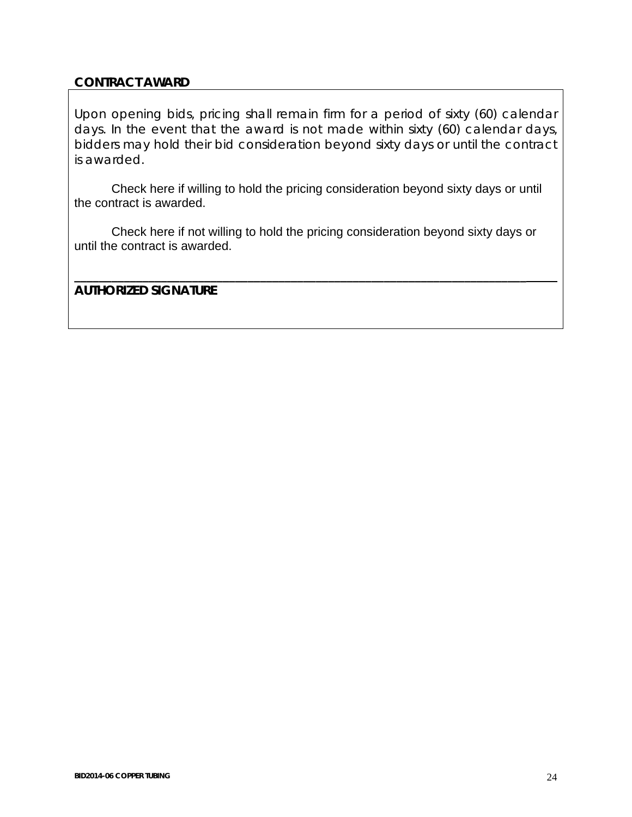# **CONTRACT AWARD**

Upon opening bids, pricing shall remain firm for a period of sixty (60) calendar days. In the event that the award is not made within sixty (60) calendar days, bidders may hold their bid consideration beyond sixty days or until the contract is awarded.

 Check here if willing to hold the pricing consideration beyond sixty days or until the contract is awarded.

 Check here if not willing to hold the pricing consideration beyond sixty days or until the contract is awarded.

**\_\_\_\_\_\_\_\_\_\_\_\_\_\_\_\_\_\_\_\_\_\_\_\_\_\_\_\_\_\_\_\_\_\_\_\_\_\_\_\_\_\_\_\_\_\_\_\_\_\_\_\_\_\_\_\_\_\_\_\_\_\_\_\_\_\_\_\_\_\_\_\_\_** 

**AUTHORIZED SIGNATURE**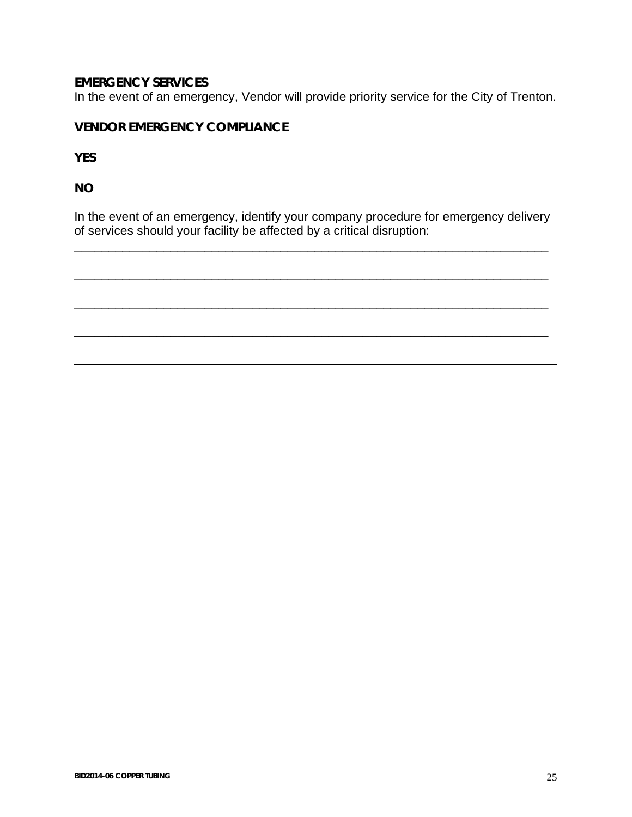# **EMERGENCY SERVICES**

In the event of an emergency, Vendor will provide priority service for the City of Trenton.

# **VENDOR EMERGENCY COMPLIANCE**

**YES** 

**NO** 

l

In the event of an emergency, identify your company procedure for emergency delivery of services should your facility be affected by a critical disruption:

\_\_\_\_\_\_\_\_\_\_\_\_\_\_\_\_\_\_\_\_\_\_\_\_\_\_\_\_\_\_\_\_\_\_\_\_\_\_\_\_\_\_\_\_\_\_\_\_\_\_\_\_\_\_\_\_\_\_\_\_\_\_\_\_\_\_\_\_\_

\_\_\_\_\_\_\_\_\_\_\_\_\_\_\_\_\_\_\_\_\_\_\_\_\_\_\_\_\_\_\_\_\_\_\_\_\_\_\_\_\_\_\_\_\_\_\_\_\_\_\_\_\_\_\_\_\_\_\_\_\_\_\_\_\_\_\_\_\_

\_\_\_\_\_\_\_\_\_\_\_\_\_\_\_\_\_\_\_\_\_\_\_\_\_\_\_\_\_\_\_\_\_\_\_\_\_\_\_\_\_\_\_\_\_\_\_\_\_\_\_\_\_\_\_\_\_\_\_\_\_\_\_\_\_\_\_\_\_

\_\_\_\_\_\_\_\_\_\_\_\_\_\_\_\_\_\_\_\_\_\_\_\_\_\_\_\_\_\_\_\_\_\_\_\_\_\_\_\_\_\_\_\_\_\_\_\_\_\_\_\_\_\_\_\_\_\_\_\_\_\_\_\_\_\_\_\_\_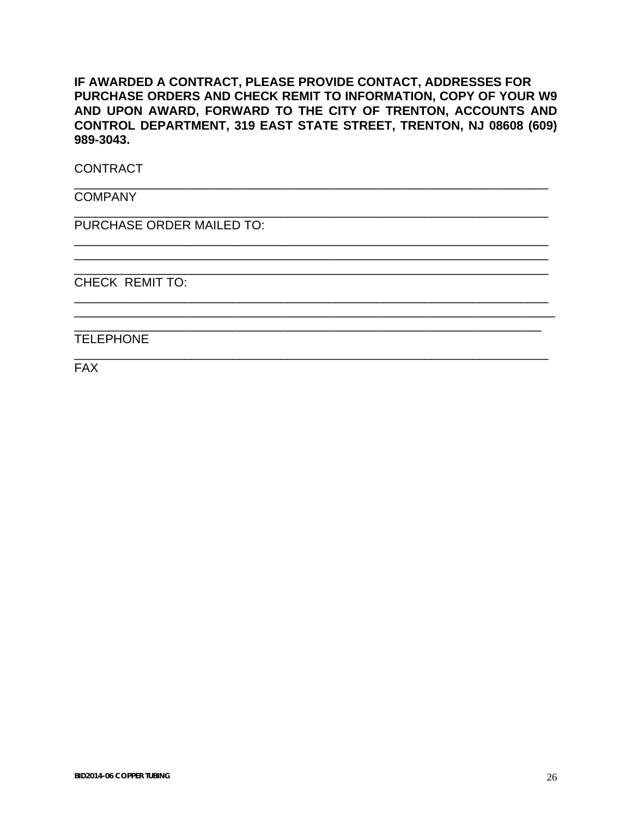# **IF AWARDED A CONTRACT, PLEASE PROVIDE CONTACT, ADDRESSES FOR PURCHASE ORDERS AND CHECK REMIT TO INFORMATION, COPY OF YOUR W9 AND UPON AWARD, FORWARD TO THE CITY OF TRENTON, ACCOUNTS AND CONTROL DEPARTMENT, 319 EAST STATE STREET, TRENTON, NJ 08608 (609) 989-3043.**

\_\_\_\_\_\_\_\_\_\_\_\_\_\_\_\_\_\_\_\_\_\_\_\_\_\_\_\_\_\_\_\_\_\_\_\_\_\_\_\_\_\_\_\_\_\_\_\_\_\_\_\_\_\_\_\_\_\_\_\_\_\_\_\_\_\_\_\_\_

\_\_\_\_\_\_\_\_\_\_\_\_\_\_\_\_\_\_\_\_\_\_\_\_\_\_\_\_\_\_\_\_\_\_\_\_\_\_\_\_\_\_\_\_\_\_\_\_\_\_\_\_\_\_\_\_\_\_\_\_\_\_\_\_\_\_\_\_\_

\_\_\_\_\_\_\_\_\_\_\_\_\_\_\_\_\_\_\_\_\_\_\_\_\_\_\_\_\_\_\_\_\_\_\_\_\_\_\_\_\_\_\_\_\_\_\_\_\_\_\_\_\_\_\_\_\_\_\_\_\_\_\_\_\_\_\_\_\_ \_\_\_\_\_\_\_\_\_\_\_\_\_\_\_\_\_\_\_\_\_\_\_\_\_\_\_\_\_\_\_\_\_\_\_\_\_\_\_\_\_\_\_\_\_\_\_\_\_\_\_\_\_\_\_\_\_\_\_\_\_\_\_\_\_\_\_\_\_ \_\_\_\_\_\_\_\_\_\_\_\_\_\_\_\_\_\_\_\_\_\_\_\_\_\_\_\_\_\_\_\_\_\_\_\_\_\_\_\_\_\_\_\_\_\_\_\_\_\_\_\_\_\_\_\_\_\_\_\_\_\_\_\_\_\_\_\_\_

\_\_\_\_\_\_\_\_\_\_\_\_\_\_\_\_\_\_\_\_\_\_\_\_\_\_\_\_\_\_\_\_\_\_\_\_\_\_\_\_\_\_\_\_\_\_\_\_\_\_\_\_\_\_\_\_\_\_\_\_\_\_\_\_\_\_\_\_\_ \_\_\_\_\_\_\_\_\_\_\_\_\_\_\_\_\_\_\_\_\_\_\_\_\_\_\_\_\_\_\_\_\_\_\_\_\_\_\_\_\_\_\_\_\_\_\_\_\_\_\_\_\_\_\_\_\_\_\_\_\_\_\_\_\_\_\_\_\_\_ \_\_\_\_\_\_\_\_\_\_\_\_\_\_\_\_\_\_\_\_\_\_\_\_\_\_\_\_\_\_\_\_\_\_\_\_\_\_\_\_\_\_\_\_\_\_\_\_\_\_\_\_\_\_\_\_\_\_\_\_\_\_\_\_\_\_\_\_

\_\_\_\_\_\_\_\_\_\_\_\_\_\_\_\_\_\_\_\_\_\_\_\_\_\_\_\_\_\_\_\_\_\_\_\_\_\_\_\_\_\_\_\_\_\_\_\_\_\_\_\_\_\_\_\_\_\_\_\_\_\_\_\_\_\_\_\_\_

**CONTRACT** 

**COMPANY** 

PURCHASE ORDER MAILED TO:

CHECK REMIT TO:

TELEPHONE

FAX